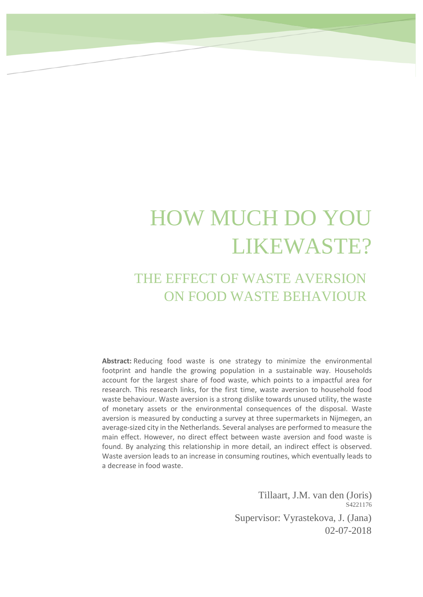# HOW MUCH DO YOU LIKEWASTE?

# THE EFFECT OF WASTE AVERSION ON FOOD WASTE BEHAVIOUR

**Abstract:** Reducing food waste is one strategy to minimize the environmental footprint and handle the growing population in a sustainable way. Households account for the largest share of food waste, which points to a impactful area for research. This research links, for the first time, waste aversion to household food waste behaviour. Waste aversion is a strong dislike towards unused utility, the waste of monetary assets or the environmental consequences of the disposal. Waste aversion is measured by conducting a survey at three supermarkets in Nijmegen, an average-sized city in the Netherlands. Several analyses are performed to measure the main effect. However, no direct effect between waste aversion and food waste is found. By analyzing this relationship in more detail, an indirect effect is observed. Waste aversion leads to an increase in consuming routines, which eventually leads to a decrease in food waste.

> Tillaart, J.M. van den (Joris) S4221176 Supervisor: Vyrastekova, J. (Jana) 02-07-2018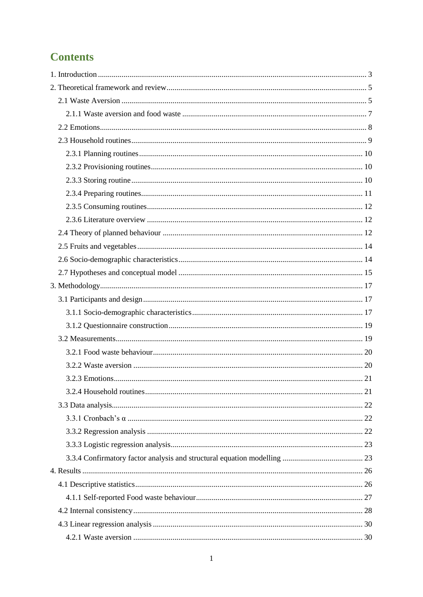# **Contents**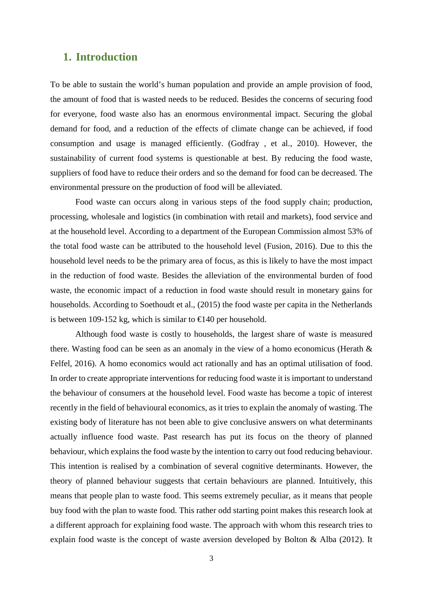# <span id="page-3-0"></span>**1. Introduction**

To be able to sustain the world's human population and provide an ample provision of food, the amount of food that is wasted needs to be reduced. Besides the concerns of securing food for everyone, food waste also has an enormous environmental impact. Securing the global demand for food, and a reduction of the effects of climate change can be achieved, if food consumption and usage is managed efficiently. (Godfray , et al., 2010). However, the sustainability of current food systems is questionable at best. By reducing the food waste, suppliers of food have to reduce their orders and so the demand for food can be decreased. The environmental pressure on the production of food will be alleviated.

Food waste can occurs along in various steps of the food supply chain; production, processing, wholesale and logistics (in combination with retail and markets), food service and at the household level. According to a department of the European Commission almost 53% of the total food waste can be attributed to the household level (Fusion, 2016). Due to this the household level needs to be the primary area of focus, as this is likely to have the most impact in the reduction of food waste. Besides the alleviation of the environmental burden of food waste, the economic impact of a reduction in food waste should result in monetary gains for households. According to Soethoudt et al., (2015) the food waste per capita in the Netherlands is between 109-152 kg, which is similar to  $\in$ 140 per household.

Although food waste is costly to households, the largest share of waste is measured there. Wasting food can be seen as an anomaly in the view of a homo economicus (Herath & Felfel, 2016). A homo economics would act rationally and has an optimal utilisation of food. In order to create appropriate interventions for reducing food waste it is important to understand the behaviour of consumers at the household level. Food waste has become a topic of interest recently in the field of behavioural economics, as it tries to explain the anomaly of wasting. The existing body of literature has not been able to give conclusive answers on what determinants actually influence food waste. Past research has put its focus on the theory of planned behaviour, which explains the food waste by the intention to carry out food reducing behaviour. This intention is realised by a combination of several cognitive determinants. However, the theory of planned behaviour suggests that certain behaviours are planned. Intuitively, this means that people plan to waste food. This seems extremely peculiar, as it means that people buy food with the plan to waste food. This rather odd starting point makes this research look at a different approach for explaining food waste. The approach with whom this research tries to explain food waste is the concept of waste aversion developed by Bolton & Alba (2012). It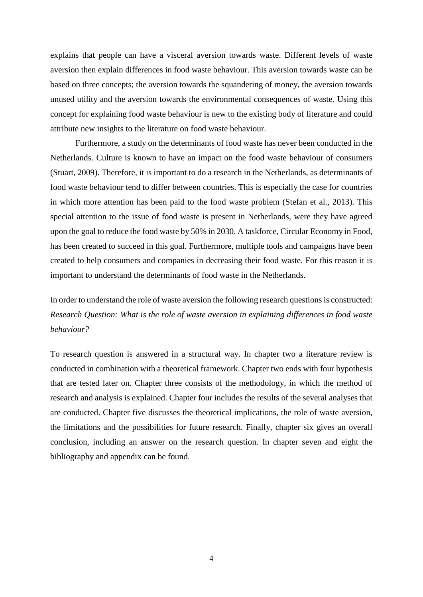explains that people can have a visceral aversion towards waste. Different levels of waste aversion then explain differences in food waste behaviour. This aversion towards waste can be based on three concepts; the aversion towards the squandering of money, the aversion towards unused utility and the aversion towards the environmental consequences of waste. Using this concept for explaining food waste behaviour is new to the existing body of literature and could attribute new insights to the literature on food waste behaviour.

Furthermore, a study on the determinants of food waste has never been conducted in the Netherlands. Culture is known to have an impact on the food waste behaviour of consumers (Stuart, 2009). Therefore, it is important to do a research in the Netherlands, as determinants of food waste behaviour tend to differ between countries. This is especially the case for countries in which more attention has been paid to the food waste problem (Stefan et al., 2013). This special attention to the issue of food waste is present in Netherlands, were they have agreed upon the goal to reduce the food waste by 50% in 2030. A taskforce, Circular Economy in Food, has been created to succeed in this goal. Furthermore, multiple tools and campaigns have been created to help consumers and companies in decreasing their food waste. For this reason it is important to understand the determinants of food waste in the Netherlands.

In order to understand the role of waste aversion the following research questions is constructed: *Research Question: What is the role of waste aversion in explaining differences in food waste behaviour?*

To research question is answered in a structural way. In chapter two a literature review is conducted in combination with a theoretical framework. Chapter two ends with four hypothesis that are tested later on. Chapter three consists of the methodology, in which the method of research and analysis is explained. Chapter four includes the results of the several analyses that are conducted. Chapter five discusses the theoretical implications, the role of waste aversion, the limitations and the possibilities for future research. Finally, chapter six gives an overall conclusion, including an answer on the research question. In chapter seven and eight the bibliography and appendix can be found.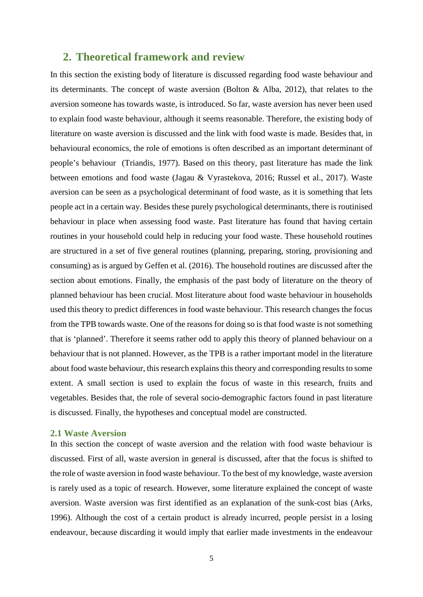# <span id="page-5-0"></span>**2. Theoretical framework and review**

In this section the existing body of literature is discussed regarding food waste behaviour and its determinants. The concept of waste aversion (Bolton  $\&$  Alba, 2012), that relates to the aversion someone has towards waste, is introduced. So far, waste aversion has never been used to explain food waste behaviour, although it seems reasonable. Therefore, the existing body of literature on waste aversion is discussed and the link with food waste is made. Besides that, in behavioural economics, the role of emotions is often described as an important determinant of people's behaviour (Triandis, 1977). Based on this theory, past literature has made the link between emotions and food waste (Jagau & Vyrastekova, 2016; Russel et al., 2017). Waste aversion can be seen as a psychological determinant of food waste, as it is something that lets people act in a certain way. Besides these purely psychological determinants, there is routinised behaviour in place when assessing food waste. Past literature has found that having certain routines in your household could help in reducing your food waste. These household routines are structured in a set of five general routines (planning, preparing, storing, provisioning and consuming) as is argued by Geffen et al. (2016). The household routines are discussed after the section about emotions. Finally, the emphasis of the past body of literature on the theory of planned behaviour has been crucial. Most literature about food waste behaviour in households used this theory to predict differences in food waste behaviour. This research changes the focus from the TPB towards waste. One of the reasons for doing so is that food waste is not something that is 'planned'. Therefore it seems rather odd to apply this theory of planned behaviour on a behaviour that is not planned. However, as the TPB is a rather important model in the literature about food waste behaviour, this research explainsthis theory and corresponding results to some extent. A small section is used to explain the focus of waste in this research, fruits and vegetables. Besides that, the role of several socio-demographic factors found in past literature is discussed. Finally, the hypotheses and conceptual model are constructed.

### <span id="page-5-1"></span>**2.1 Waste Aversion**

In this section the concept of waste aversion and the relation with food waste behaviour is discussed. First of all, waste aversion in general is discussed, after that the focus is shifted to the role of waste aversion in food waste behaviour. To the best of my knowledge, waste aversion is rarely used as a topic of research. However, some literature explained the concept of waste aversion. Waste aversion was first identified as an explanation of the sunk-cost bias (Arks, 1996). Although the cost of a certain product is already incurred, people persist in a losing endeavour, because discarding it would imply that earlier made investments in the endeavour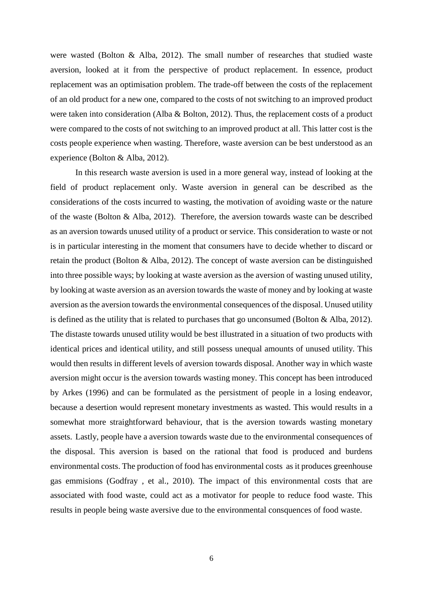were wasted (Bolton & Alba, 2012). The small number of researches that studied waste aversion, looked at it from the perspective of product replacement. In essence, product replacement was an optimisation problem. The trade-off between the costs of the replacement of an old product for a new one, compared to the costs of not switching to an improved product were taken into consideration (Alba & Bolton, 2012). Thus, the replacement costs of a product were compared to the costs of not switching to an improved product at all. This latter cost is the costs people experience when wasting. Therefore, waste aversion can be best understood as an experience (Bolton & Alba, 2012).

In this research waste aversion is used in a more general way, instead of looking at the field of product replacement only. Waste aversion in general can be described as the considerations of the costs incurred to wasting, the motivation of avoiding waste or the nature of the waste (Bolton & Alba, 2012). Therefore, the aversion towards waste can be described as an aversion towards unused utility of a product or service. This consideration to waste or not is in particular interesting in the moment that consumers have to decide whether to discard or retain the product (Bolton & Alba, 2012). The concept of waste aversion can be distinguished into three possible ways; by looking at waste aversion as the aversion of wasting unused utility, by looking at waste aversion as an aversion towards the waste of money and by looking at waste aversion as the aversion towards the environmental consequences of the disposal. Unused utility is defined as the utility that is related to purchases that go unconsumed (Bolton & Alba, 2012). The distaste towards unused utility would be best illustrated in a situation of two products with identical prices and identical utility, and still possess unequal amounts of unused utility. This would then results in different levels of aversion towards disposal. Another way in which waste aversion might occur is the aversion towards wasting money. This concept has been introduced by Arkes (1996) and can be formulated as the persistment of people in a losing endeavor, because a desertion would represent monetary investments as wasted. This would results in a somewhat more straightforward behaviour, that is the aversion towards wasting monetary assets. Lastly, people have a aversion towards waste due to the environmental consequences of the disposal. This aversion is based on the rational that food is produced and burdens environmental costs. The production of food has environmental costs as it produces greenhouse gas emmisions (Godfray , et al., 2010). The impact of this environmental costs that are associated with food waste, could act as a motivator for people to reduce food waste. This results in people being waste aversive due to the environmental consquences of food waste.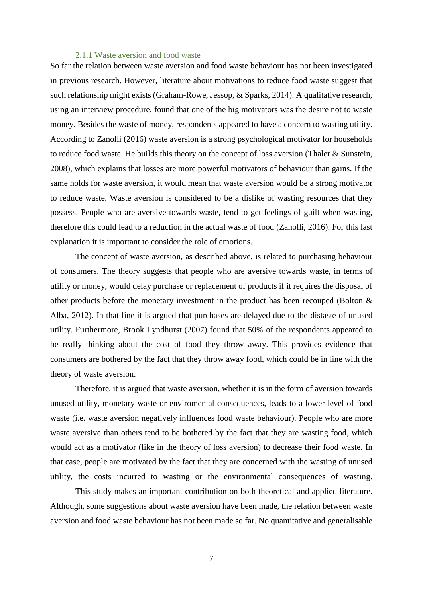#### 2.1.1 Waste aversion and food waste

<span id="page-7-0"></span>So far the relation between waste aversion and food waste behaviour has not been investigated in previous research. However, literature about motivations to reduce food waste suggest that such relationship might exists (Graham-Rowe, Jessop, & Sparks, 2014). A qualitative research, using an interview procedure, found that one of the big motivators was the desire not to waste money. Besides the waste of money, respondents appeared to have a concern to wasting utility. According to Zanolli (2016) waste aversion is a strong psychological motivator for households to reduce food waste. He builds this theory on the concept of loss aversion (Thaler & Sunstein, 2008), which explains that losses are more powerful motivators of behaviour than gains. If the same holds for waste aversion, it would mean that waste aversion would be a strong motivator to reduce waste. Waste aversion is considered to be a dislike of wasting resources that they possess. People who are aversive towards waste, tend to get feelings of guilt when wasting, therefore this could lead to a reduction in the actual waste of food (Zanolli, 2016). For this last explanation it is important to consider the role of emotions.

The concept of waste aversion, as described above, is related to purchasing behaviour of consumers. The theory suggests that people who are aversive towards waste, in terms of utility or money, would delay purchase or replacement of products if it requires the disposal of other products before the monetary investment in the product has been recouped (Bolton & Alba, 2012). In that line it is argued that purchases are delayed due to the distaste of unused utility. Furthermore, Brook Lyndhurst (2007) found that 50% of the respondents appeared to be really thinking about the cost of food they throw away. This provides evidence that consumers are bothered by the fact that they throw away food, which could be in line with the theory of waste aversion.

Therefore, it is argued that waste aversion, whether it is in the form of aversion towards unused utility, monetary waste or enviromental consequences, leads to a lower level of food waste (i.e. waste aversion negatively influences food waste behaviour). People who are more waste aversive than others tend to be bothered by the fact that they are wasting food, which would act as a motivator (like in the theory of loss aversion) to decrease their food waste. In that case, people are motivated by the fact that they are concerned with the wasting of unused utility, the costs incurred to wasting or the environmental consequences of wasting.

This study makes an important contribution on both theoretical and applied literature. Although, some suggestions about waste aversion have been made, the relation between waste aversion and food waste behaviour has not been made so far. No quantitative and generalisable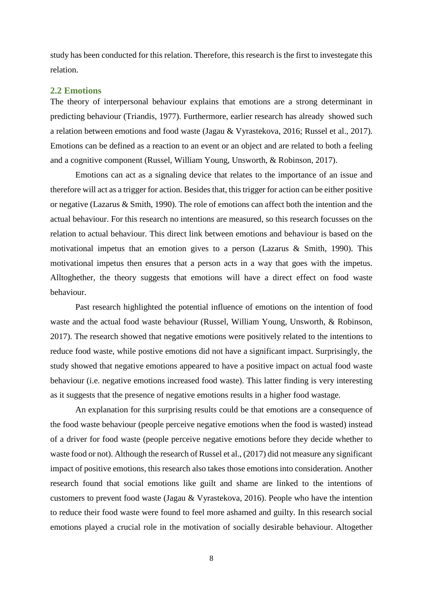study has been conducted for this relation. Therefore, this research is the first to investegate this relation.

#### <span id="page-8-0"></span>**2.2 Emotions**

The theory of interpersonal behaviour explains that emotions are a strong determinant in predicting behaviour (Triandis, 1977). Furthermore, earlier research has already showed such a relation between emotions and food waste (Jagau & Vyrastekova, 2016; Russel et al., 2017). Emotions can be defined as a reaction to an event or an object and are related to both a feeling and a cognitive component (Russel, William Young, Unsworth, & Robinson, 2017).

Emotions can act as a signaling device that relates to the importance of an issue and therefore will act as a trigger for action. Besides that, this trigger for action can be either positive or negative (Lazarus & Smith, 1990). The role of emotions can affect both the intention and the actual behaviour. For this research no intentions are measured, so this research focusses on the relation to actual behaviour. This direct link between emotions and behaviour is based on the motivational impetus that an emotion gives to a person (Lazarus & Smith, 1990). This motivational impetus then ensures that a person acts in a way that goes with the impetus. Alltoghether, the theory suggests that emotions will have a direct effect on food waste behaviour.

Past research highlighted the potential influence of emotions on the intention of food waste and the actual food waste behaviour (Russel, William Young, Unsworth, & Robinson, 2017). The research showed that negative emotions were positively related to the intentions to reduce food waste, while postive emotions did not have a significant impact. Surprisingly, the study showed that negative emotions appeared to have a positive impact on actual food waste behaviour (i.e. negative emotions increased food waste). This latter finding is very interesting as it suggests that the presence of negative emotions results in a higher food wastage.

An explanation for this surprising results could be that emotions are a consequence of the food waste behaviour (people perceive negative emotions when the food is wasted) instead of a driver for food waste (people perceive negative emotions before they decide whether to waste food or not). Although the research of Russel et al., (2017) did not measure any significant impact of positive emotions, this research also takes those emotions into consideration. Another research found that social emotions like guilt and shame are linked to the intentions of customers to prevent food waste (Jagau & Vyrastekova, 2016). People who have the intention to reduce their food waste were found to feel more ashamed and guilty. In this research social emotions played a crucial role in the motivation of socially desirable behaviour. Altogether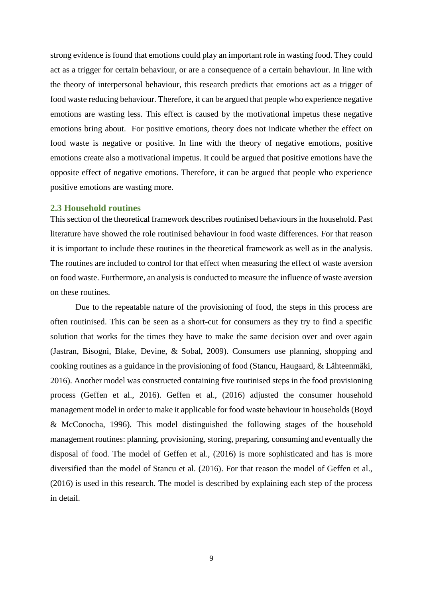strong evidence is found that emotions could play an important role in wasting food. They could act as a trigger for certain behaviour, or are a consequence of a certain behaviour. In line with the theory of interpersonal behaviour, this research predicts that emotions act as a trigger of food waste reducing behaviour. Therefore, it can be argued that people who experience negative emotions are wasting less. This effect is caused by the motivational impetus these negative emotions bring about. For positive emotions, theory does not indicate whether the effect on food waste is negative or positive. In line with the theory of negative emotions, positive emotions create also a motivational impetus. It could be argued that positive emotions have the opposite effect of negative emotions. Therefore, it can be argued that people who experience positive emotions are wasting more.

#### <span id="page-9-0"></span>**2.3 Household routines**

This section of the theoretical framework describes routinised behaviours in the household. Past literature have showed the role routinised behaviour in food waste differences. For that reason it is important to include these routines in the theoretical framework as well as in the analysis. The routines are included to control for that effect when measuring the effect of waste aversion on food waste. Furthermore, an analysis is conducted to measure the influence of waste aversion on these routines.

Due to the repeatable nature of the provisioning of food, the steps in this process are often routinised. This can be seen as a short-cut for consumers as they try to find a specific solution that works for the times they have to make the same decision over and over again (Jastran, Bisogni, Blake, Devine, & Sobal, 2009). Consumers use planning, shopping and cooking routines as a guidance in the provisioning of food (Stancu, Haugaard, & Lähteenmäki, 2016). Another model was constructed containing five routinised steps in the food provisioning process (Geffen et al., 2016). Geffen et al., (2016) adjusted the consumer household management model in order to make it applicable for food waste behaviour in households(Boyd & McConocha, 1996). This model distinguished the following stages of the household management routines: planning, provisioning, storing, preparing, consuming and eventually the disposal of food. The model of Geffen et al., (2016) is more sophisticated and has is more diversified than the model of Stancu et al. (2016). For that reason the model of Geffen et al., (2016) is used in this research. The model is described by explaining each step of the process in detail.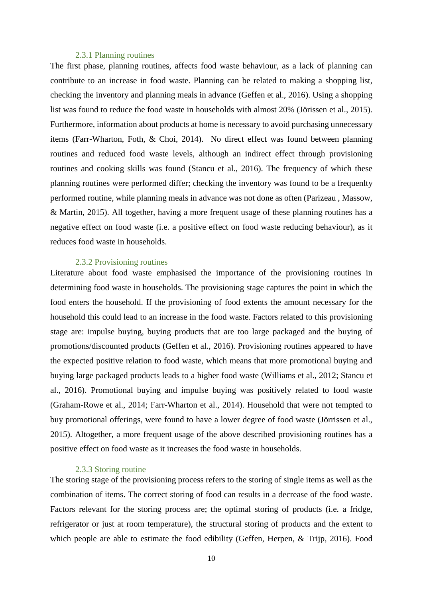#### <span id="page-10-0"></span>2.3.1 Planning routines

The first phase, planning routines, affects food waste behaviour, as a lack of planning can contribute to an increase in food waste. Planning can be related to making a shopping list, checking the inventory and planning meals in advance (Geffen et al., 2016). Using a shopping list was found to reduce the food waste in households with almost 20% (Jörissen et al., 2015). Furthermore, information about products at home is necessary to avoid purchasing unnecessary items (Farr-Wharton, Foth, & Choi, 2014). No direct effect was found between planning routines and reduced food waste levels, although an indirect effect through provisioning routines and cooking skills was found (Stancu et al., 2016). The frequency of which these planning routines were performed differ; checking the inventory was found to be a frequenlty performed routine, while planning meals in advance was not done as often (Parizeau , Massow, & Martin, 2015). All together, having a more frequent usage of these planning routines has a negative effect on food waste (i.e. a positive effect on food waste reducing behaviour), as it reduces food waste in households.

#### 2.3.2 Provisioning routines

<span id="page-10-1"></span>Literature about food waste emphasised the importance of the provisioning routines in determining food waste in households. The provisioning stage captures the point in which the food enters the household. If the provisioning of food extents the amount necessary for the household this could lead to an increase in the food waste. Factors related to this provisioning stage are: impulse buying, buying products that are too large packaged and the buying of promotions/discounted products (Geffen et al., 2016). Provisioning routines appeared to have the expected positive relation to food waste, which means that more promotional buying and buying large packaged products leads to a higher food waste (Williams et al., 2012; Stancu et al., 2016). Promotional buying and impulse buying was positively related to food waste (Graham-Rowe et al., 2014; Farr-Wharton et al., 2014). Household that were not tempted to buy promotional offerings, were found to have a lower degree of food waste (Jörrissen et al., 2015). Altogether, a more frequent usage of the above described provisioning routines has a positive effect on food waste as it increases the food waste in households.

#### 2.3.3 Storing routine

<span id="page-10-2"></span>The storing stage of the provisioning process refers to the storing of single items as well as the combination of items. The correct storing of food can results in a decrease of the food waste. Factors relevant for the storing process are; the optimal storing of products (i.e. a fridge, refrigerator or just at room temperature), the structural storing of products and the extent to which people are able to estimate the food edibility (Geffen, Herpen, & Trijp, 2016). Food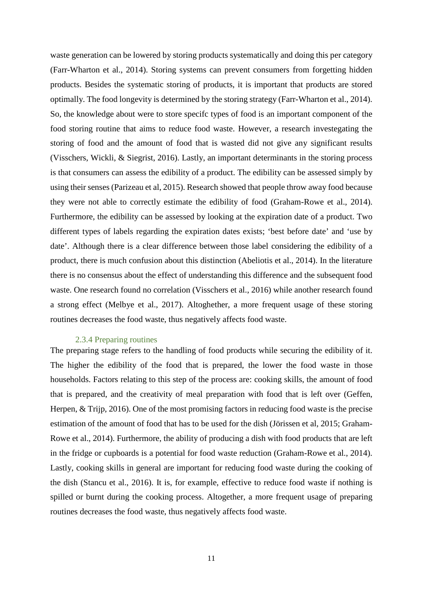waste generation can be lowered by storing products systematically and doing this per category (Farr-Wharton et al., 2014). Storing systems can prevent consumers from forgetting hidden products. Besides the systematic storing of products, it is important that products are stored optimally. The food longevity is determined by the storing strategy (Farr-Wharton et al., 2014). So, the knowledge about were to store specifc types of food is an important component of the food storing routine that aims to reduce food waste. However, a research investegating the storing of food and the amount of food that is wasted did not give any significant results (Visschers, Wickli, & Siegrist, 2016). Lastly, an important determinants in the storing process is that consumers can assess the edibility of a product. The edibility can be assessed simply by using their senses (Parizeau et al, 2015). Research showed that people throw away food because they were not able to correctly estimate the edibility of food (Graham-Rowe et al., 2014). Furthermore, the edibility can be assessed by looking at the expiration date of a product. Two different types of labels regarding the expiration dates exists; 'best before date' and 'use by date'. Although there is a clear difference between those label considering the edibility of a product, there is much confusion about this distinction (Abeliotis et al., 2014). In the literature there is no consensus about the effect of understanding this difference and the subsequent food waste. One research found no correlation (Visschers et al., 2016) while another research found a strong effect (Melbye et al., 2017). Altoghether, a more frequent usage of these storing routines decreases the food waste, thus negatively affects food waste.

#### 2.3.4 Preparing routines

<span id="page-11-0"></span>The preparing stage refers to the handling of food products while securing the edibility of it. The higher the edibility of the food that is prepared, the lower the food waste in those households. Factors relating to this step of the process are: cooking skills, the amount of food that is prepared, and the creativity of meal preparation with food that is left over (Geffen, Herpen, & Trijp, 2016). One of the most promising factors in reducing food waste is the precise estimation of the amount of food that has to be used for the dish (Jörissen et al, 2015; Graham-Rowe et al., 2014). Furthermore, the ability of producing a dish with food products that are left in the fridge or cupboards is a potential for food waste reduction (Graham-Rowe et al., 2014). Lastly, cooking skills in general are important for reducing food waste during the cooking of the dish (Stancu et al., 2016). It is, for example, effective to reduce food waste if nothing is spilled or burnt during the cooking process. Altogether, a more frequent usage of preparing routines decreases the food waste, thus negatively affects food waste.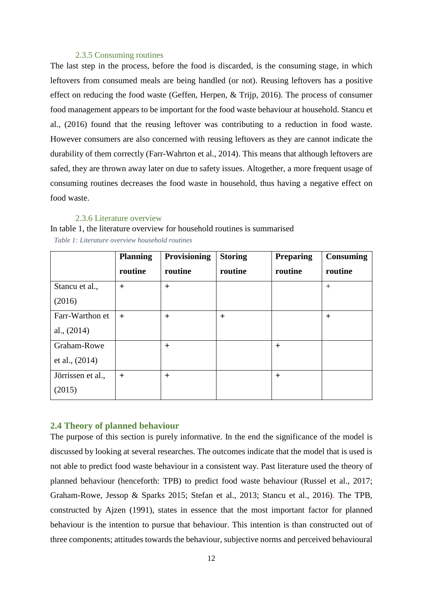#### 2.3.5 Consuming routines

<span id="page-12-0"></span>The last step in the process, before the food is discarded, is the consuming stage, in which leftovers from consumed meals are being handled (or not). Reusing leftovers has a positive effect on reducing the food waste (Geffen, Herpen, & Trijp, 2016). The process of consumer food management appears to be important for the food waste behaviour at household. Stancu et al., (2016) found that the reusing leftover was contributing to a reduction in food waste. However consumers are also concerned with reusing leftovers as they are cannot indicate the durability of them correctly (Farr-Wahrton et al., 2014). This means that although leftovers are safed, they are thrown away later on due to safety issues. Altogether, a more frequent usage of consuming routines decreases the food waste in household, thus having a negative effect on food waste.

#### 2.3.6 Literature overview

<span id="page-12-1"></span>In table 1, the literature [overview for household routines](#page-12-3) is summarised *Table 1: Literature overview household routines*

<span id="page-12-3"></span>

|                   | <b>Planning</b> | <b>Provisioning</b> | <b>Storing</b> | <b>Preparing</b> | <b>Consuming</b> |
|-------------------|-----------------|---------------------|----------------|------------------|------------------|
|                   | routine         | routine             | routine        | routine          | routine          |
| Stancu et al.,    | $+$             | $+$                 |                |                  | $+$              |
| (2016)            |                 |                     |                |                  |                  |
| Farr-Warthon et   | $+$             | $^{+}$              | $^{+}$         |                  | $^{+}$           |
| al., $(2014)$     |                 |                     |                |                  |                  |
| Graham-Rowe       |                 | $^{+}$              |                | $+$              |                  |
| et al., $(2014)$  |                 |                     |                |                  |                  |
| Jörrissen et al., | $+$             | $+$                 |                | $+$              |                  |
| (2015)            |                 |                     |                |                  |                  |

#### <span id="page-12-2"></span>**2.4 Theory of planned behaviour**

The purpose of this section is purely informative. In the end the significance of the model is discussed by looking at several researches. The outcomes indicate that the model that is used is not able to predict food waste behaviour in a consistent way. Past literature used the theory of planned behaviour (henceforth: TPB) to predict food waste behaviour (Russel et al., 2017; Graham-Rowe, Jessop & Sparks 2015; Stefan et al., 2013; Stancu et al., 2016). The TPB, constructed by Ajzen (1991), states in essence that the most important factor for planned behaviour is the intention to pursue that behaviour. This intention is than constructed out of three components; attitudes towards the behaviour, subjective norms and perceived behavioural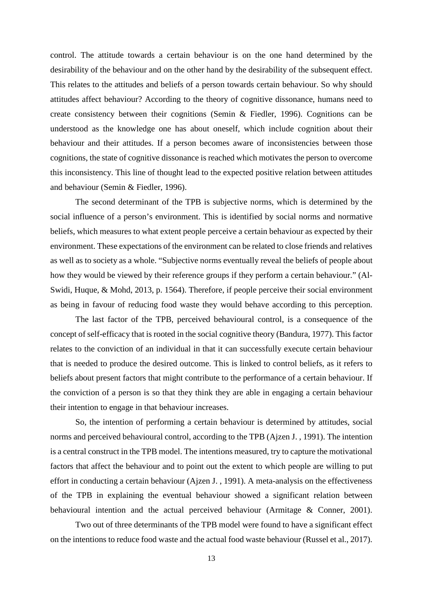control. The attitude towards a certain behaviour is on the one hand determined by the desirability of the behaviour and on the other hand by the desirability of the subsequent effect. This relates to the attitudes and beliefs of a person towards certain behaviour. So why should attitudes affect behaviour? According to the theory of cognitive dissonance, humans need to create consistency between their cognitions (Semin & Fiedler, 1996). Cognitions can be understood as the knowledge one has about oneself, which include cognition about their behaviour and their attitudes. If a person becomes aware of inconsistencies between those cognitions, the state of cognitive dissonance is reached which motivates the person to overcome this inconsistency. This line of thought lead to the expected positive relation between attitudes and behaviour (Semin & Fiedler, 1996).

The second determinant of the TPB is subjective norms, which is determined by the social influence of a person's environment. This is identified by social norms and normative beliefs, which measures to what extent people perceive a certain behaviour as expected by their environment. These expectations of the environment can be related to close friends and relatives as well as to society as a whole. "Subjective norms eventually reveal the beliefs of people about how they would be viewed by their reference groups if they perform a certain behaviour." (Al-Swidi, Huque, & Mohd, 2013, p. 1564). Therefore, if people perceive their social environment as being in favour of reducing food waste they would behave according to this perception.

The last factor of the TPB, perceived behavioural control, is a consequence of the concept of self-efficacy that is rooted in the social cognitive theory (Bandura, 1977). This factor relates to the conviction of an individual in that it can successfully execute certain behaviour that is needed to produce the desired outcome. This is linked to control beliefs, as it refers to beliefs about present factors that might contribute to the performance of a certain behaviour. If the conviction of a person is so that they think they are able in engaging a certain behaviour their intention to engage in that behaviour increases.

So, the intention of performing a certain behaviour is determined by attitudes, social norms and perceived behavioural control, according to the TPB (Ajzen J. , 1991). The intention is a central construct in the TPB model. The intentions measured, try to capture the motivational factors that affect the behaviour and to point out the extent to which people are willing to put effort in conducting a certain behaviour (Ajzen J. , 1991). A meta-analysis on the effectiveness of the TPB in explaining the eventual behaviour showed a significant relation between behavioural intention and the actual perceived behaviour (Armitage & Conner, 2001).

Two out of three determinants of the TPB model were found to have a significant effect on the intentions to reduce food waste and the actual food waste behaviour (Russel et al., 2017).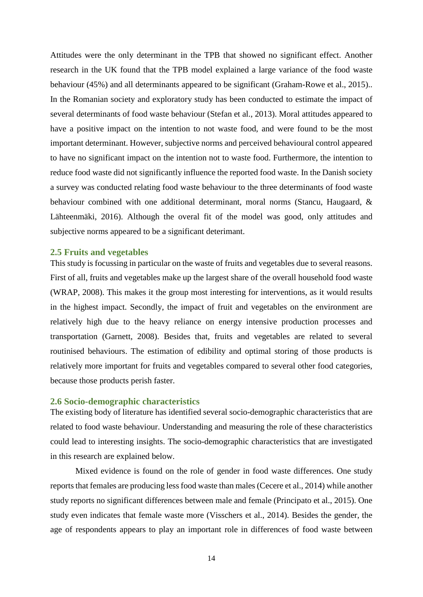Attitudes were the only determinant in the TPB that showed no significant effect. Another research in the UK found that the TPB model explained a large variance of the food waste behaviour (45%) and all determinants appeared to be significant (Graham-Rowe et al., 2015).. In the Romanian society and exploratory study has been conducted to estimate the impact of several determinants of food waste behaviour (Stefan et al., 2013). Moral attitudes appeared to have a positive impact on the intention to not waste food, and were found to be the most important determinant. However, subjective norms and perceived behavioural control appeared to have no significant impact on the intention not to waste food. Furthermore, the intention to reduce food waste did not significantly influence the reported food waste. In the Danish society a survey was conducted relating food waste behaviour to the three determinants of food waste behaviour combined with one additional determinant, moral norms (Stancu, Haugaard, & Lähteenmäki, 2016). Although the overal fit of the model was good, only attitudes and subjective norms appeared to be a significant deterimant.

#### <span id="page-14-0"></span>**2.5 Fruits and vegetables**

This study is focussing in particular on the waste of fruits and vegetables due to several reasons. First of all, fruits and vegetables make up the largest share of the overall household food waste (WRAP, 2008). This makes it the group most interesting for interventions, as it would results in the highest impact. Secondly, the impact of fruit and vegetables on the environment are relatively high due to the heavy reliance on energy intensive production processes and transportation (Garnett, 2008). Besides that, fruits and vegetables are related to several routinised behaviours. The estimation of edibility and optimal storing of those products is relatively more important for fruits and vegetables compared to several other food categories, because those products perish faster.

#### <span id="page-14-1"></span>**2.6 Socio-demographic characteristics**

The existing body of literature has identified several socio-demographic characteristics that are related to food waste behaviour. Understanding and measuring the role of these characteristics could lead to interesting insights. The socio-demographic characteristics that are investigated in this research are explained below.

Mixed evidence is found on the role of gender in food waste differences. One study reports that females are producing less food waste than males(Cecere et al., 2014) while another study reports no significant differences between male and female (Principato et al., 2015). One study even indicates that female waste more (Visschers et al., 2014). Besides the gender, the age of respondents appears to play an important role in differences of food waste between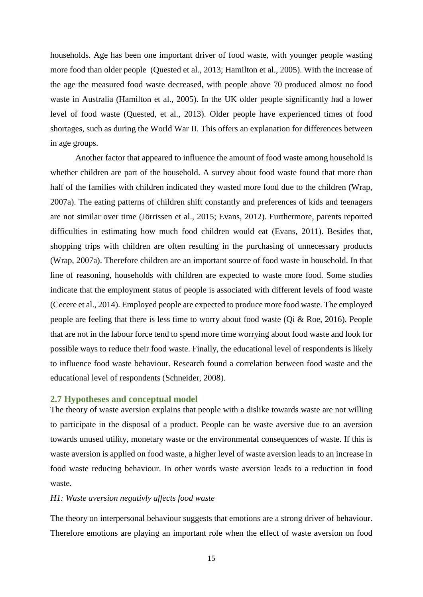households. Age has been one important driver of food waste, with younger people wasting more food than older people (Quested et al., 2013; Hamilton et al., 2005). With the increase of the age the measured food waste decreased, with people above 70 produced almost no food waste in Australia (Hamilton et al., 2005). In the UK older people significantly had a lower level of food waste (Quested, et al., 2013). Older people have experienced times of food shortages, such as during the World War II. This offers an explanation for differences between in age groups.

Another factor that appeared to influence the amount of food waste among household is whether children are part of the household. A survey about food waste found that more than half of the families with children indicated they wasted more food due to the children (Wrap, 2007a). The eating patterns of children shift constantly and preferences of kids and teenagers are not similar over time (Jörrissen et al., 2015; Evans, 2012). Furthermore, parents reported difficulties in estimating how much food children would eat (Evans, 2011). Besides that, shopping trips with children are often resulting in the purchasing of unnecessary products (Wrap, 2007a). Therefore children are an important source of food waste in household. In that line of reasoning, households with children are expected to waste more food. Some studies indicate that the employment status of people is associated with different levels of food waste (Cecere et al., 2014). Employed people are expected to produce more food waste. The employed people are feeling that there is less time to worry about food waste (Qi & Roe, 2016). People that are not in the labour force tend to spend more time worrying about food waste and look for possible ways to reduce their food waste. Finally, the educational level of respondents is likely to influence food waste behaviour. Research found a correlation between food waste and the educational level of respondents (Schneider, 2008).

#### <span id="page-15-0"></span>**2.7 Hypotheses and conceptual model**

The theory of waste aversion explains that people with a dislike towards waste are not willing to participate in the disposal of a product. People can be waste aversive due to an aversion towards unused utility, monetary waste or the environmental consequences of waste. If this is waste aversion is applied on food waste, a higher level of waste aversion leads to an increase in food waste reducing behaviour. In other words waste aversion leads to a reduction in food waste.

#### *H1: Waste aversion negativly affects food waste*

The theory on interpersonal behaviour suggests that emotions are a strong driver of behaviour. Therefore emotions are playing an important role when the effect of waste aversion on food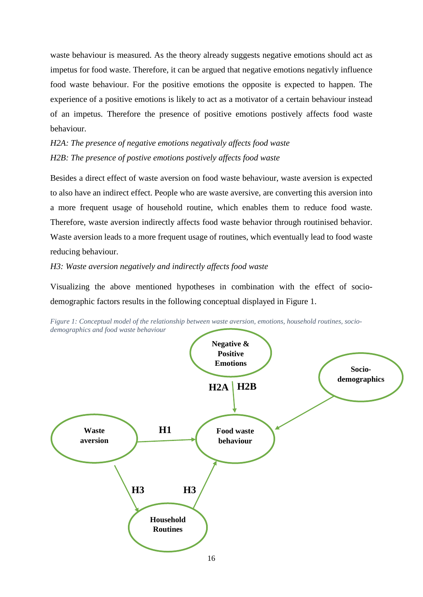waste behaviour is measured. As the theory already suggests negative emotions should act as impetus for food waste. Therefore, it can be argued that negative emotions negativly influence food waste behaviour. For the positive emotions the opposite is expected to happen. The experience of a positive emotions is likely to act as a motivator of a certain behaviour instead of an impetus. Therefore the presence of positive emotions postively affects food waste behaviour.

*H2A: The presence of negative emotions negativaly affects food waste H2B: The presence of postive emotions postively affects food waste*

Besides a direct effect of waste aversion on food waste behaviour, waste aversion is expected to also have an indirect effect. People who are waste aversive, are converting this aversion into a more frequent usage of household routine, which enables them to reduce food waste. Therefore, waste aversion indirectly affects food waste behavior through routinised behavior. Waste aversion leads to a more frequent usage of routines, which eventually lead to food waste reducing behaviour.

*H3: Waste aversion negatively and indirectly affects food waste*

Visualizing the above mentioned hypotheses in combination with the effect of sociodemographic factors results in the following conceptual displayed in [Figure 1.](#page-16-0)



<span id="page-16-0"></span>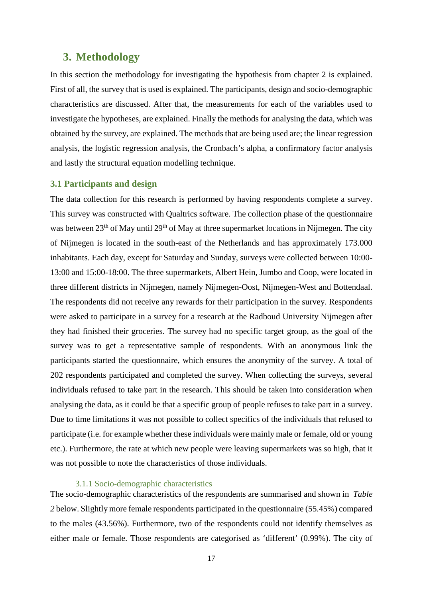# <span id="page-17-0"></span>**3. Methodology**

In this section the methodology for investigating the hypothesis from chapter 2 is explained. First of all, the survey that is used is explained. The participants, design and socio-demographic characteristics are discussed. After that, the measurements for each of the variables used to investigate the hypotheses, are explained. Finally the methods for analysing the data, which was obtained by the survey, are explained. The methods that are being used are; the linear regression analysis, the logistic regression analysis, the Cronbach's alpha, a confirmatory factor analysis and lastly the structural equation modelling technique.

#### <span id="page-17-1"></span>**3.1 Participants and design**

The data collection for this research is performed by having respondents complete a survey. This survey was constructed with Qualtrics software. The collection phase of the questionnaire was between 23<sup>th</sup> of May until 29<sup>th</sup> of May at three supermarket locations in Nijmegen. The city of Nijmegen is located in the south-east of the Netherlands and has approximately 173.000 inhabitants. Each day, except for Saturday and Sunday, surveys were collected between 10:00- 13:00 and 15:00-18:00. The three supermarkets, Albert Hein, Jumbo and Coop, were located in three different districts in Nijmegen, namely Nijmegen-Oost, Nijmegen-West and Bottendaal. The respondents did not receive any rewards for their participation in the survey. Respondents were asked to participate in a survey for a research at the Radboud University Nijmegen after they had finished their groceries. The survey had no specific target group, as the goal of the survey was to get a representative sample of respondents. With an anonymous link the participants started the questionnaire, which ensures the anonymity of the survey. A total of 202 respondents participated and completed the survey. When collecting the surveys, several individuals refused to take part in the research. This should be taken into consideration when analysing the data, as it could be that a specific group of people refuses to take part in a survey. Due to time limitations it was not possible to collect specifics of the individuals that refused to participate (i.e. for example whether these individuals were mainly male or female, old or young etc.). Furthermore, the rate at which new people were leaving supermarkets was so high, that it was not possible to note the characteristics of those individuals.

#### 3.1.1 Socio-demographic characteristics

<span id="page-17-2"></span>The socio-demographic characteristics of the respondents are summarised and shown in *[Table](#page-18-0)  [2](#page-18-0)* below. Slightly more female respondents participated in the questionnaire (55.45%) compared to the males (43.56%). Furthermore, two of the respondents could not identify themselves as either male or female. Those respondents are categorised as 'different' (0.99%). The city of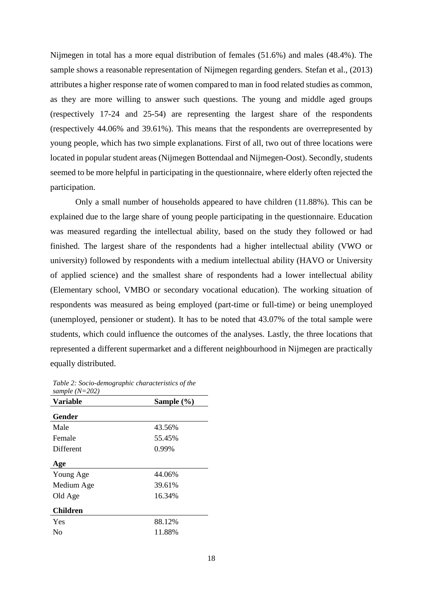Nijmegen in total has a more equal distribution of females (51.6%) and males (48.4%). The sample shows a reasonable representation of Nijmegen regarding genders. Stefan et al., (2013) attributes a higher response rate of women compared to man in food related studies as common, as they are more willing to answer such questions. The young and middle aged groups (respectively 17-24 and 25-54) are representing the largest share of the respondents (respectively 44.06% and 39.61%). This means that the respondents are overrepresented by young people, which has two simple explanations. First of all, two out of three locations were located in popular student areas (Nijmegen Bottendaal and Nijmegen-Oost). Secondly, students seemed to be more helpful in participating in the questionnaire, where elderly often rejected the participation.

Only a small number of households appeared to have children (11.88%). This can be explained due to the large share of young people participating in the questionnaire. Education was measured regarding the intellectual ability, based on the study they followed or had finished. The largest share of the respondents had a higher intellectual ability (VWO or university) followed by respondents with a medium intellectual ability (HAVO or University of applied science) and the smallest share of respondents had a lower intellectual ability (Elementary school, VMBO or secondary vocational education). The working situation of respondents was measured as being employed (part-time or full-time) or being unemployed (unemployed, pensioner or student). It has to be noted that 43.07% of the total sample were students, which could influence the outcomes of the analyses. Lastly, the three locations that represented a different supermarket and a different neighbourhood in Nijmegen are practically equally distributed.

| <b>Variable</b> | Sample (%) |
|-----------------|------------|
| Gender          |            |
| Male            | 43.56%     |
| Female          | 55.45%     |
| Different       | 0.99%      |
| Age             |            |
| Young Age       | 44.06%     |
| Medium Age      | 39.61%     |
| Old Age         | 16.34%     |
| <b>Children</b> |            |
| Yes             | 88.12%     |
| No              | 11.88%     |
|                 |            |

<span id="page-18-0"></span>*Table 2: Socio-demographic characteristics of the sample (N=202)*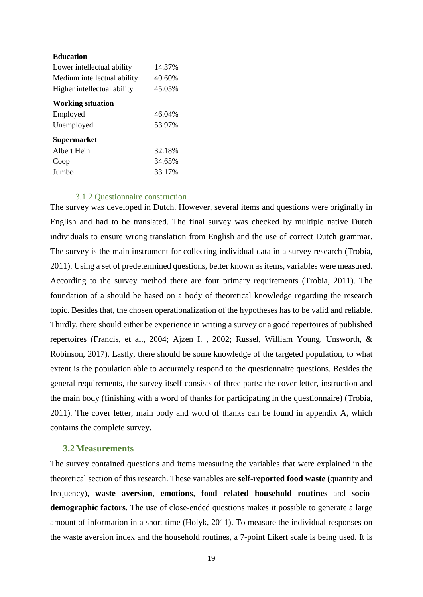| <b>Education</b>            |        |  |
|-----------------------------|--------|--|
| Lower intellectual ability  | 14.37% |  |
| Medium intellectual ability | 40.60% |  |
| Higher intellectual ability | 45.05% |  |
| <b>Working situation</b>    |        |  |
| Employed                    | 46.04% |  |
| Unemployed                  | 53.97% |  |
| <b>Supermarket</b>          |        |  |
| Albert Hein                 | 32.18% |  |
| Coop                        | 34.65% |  |
| Jumbo                       | 33.17% |  |

#### 3.1.2 Questionnaire construction

<span id="page-19-0"></span>The survey was developed in Dutch. However, several items and questions were originally in English and had to be translated. The final survey was checked by multiple native Dutch individuals to ensure wrong translation from English and the use of correct Dutch grammar. The survey is the main instrument for collecting individual data in a survey research (Trobia, 2011). Using a set of predetermined questions, better known as items, variables were measured. According to the survey method there are four primary requirements (Trobia, 2011). The foundation of a should be based on a body of theoretical knowledge regarding the research topic. Besides that, the chosen operationalization of the hypotheses has to be valid and reliable. Thirdly, there should either be experience in writing a survey or a good repertoires of published repertoires (Francis, et al., 2004; Ajzen I. , 2002; Russel, William Young, Unsworth, & Robinson, 2017). Lastly, there should be some knowledge of the targeted population, to what extent is the population able to accurately respond to the questionnaire questions. Besides the general requirements, the survey itself consists of three parts: the cover letter, instruction and the main body (finishing with a word of thanks for participating in the questionnaire) (Trobia, 2011). The cover letter, main body and word of thanks can be found in appendix A, which contains the complete survey.

#### <span id="page-19-1"></span>**3.2Measurements**

The survey contained questions and items measuring the variables that were explained in the theoretical section of this research. These variables are **self-reported food waste** (quantity and frequency), **waste aversion**, **emotions**, **food related household routines** and **sociodemographic factors**. The use of close-ended questions makes it possible to generate a large amount of information in a short time (Holyk, 2011). To measure the individual responses on the waste aversion index and the household routines, a 7-point Likert scale is being used. It is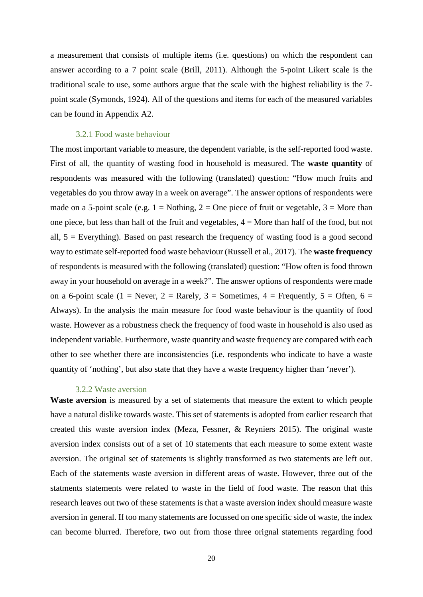a measurement that consists of multiple items (i.e. questions) on which the respondent can answer according to a 7 point scale (Brill, 2011). Although the 5-point Likert scale is the traditional scale to use, some authors argue that the scale with the highest reliability is the 7 point scale (Symonds, 1924). All of the questions and items for each of the measured variables can be found in Appendix A2.

#### 3.2.1 Food waste behaviour

<span id="page-20-0"></span>The most important variable to measure, the dependent variable, is the self-reported food waste. First of all, the quantity of wasting food in household is measured. The **waste quantity** of respondents was measured with the following (translated) question: "How much fruits and vegetables do you throw away in a week on average". The answer options of respondents were made on a 5-point scale (e.g.  $1 =$  Nothing,  $2 =$  One piece of fruit or vegetable,  $3 =$  More than one piece, but less than half of the fruit and vegetables, 4 = More than half of the food, but not all,  $5 =$  Everything). Based on past research the frequency of wasting food is a good second way to estimate self-reported food waste behaviour (Russell et al., 2017). The **waste frequency**  of respondents is measured with the following (translated) question: "How often is food thrown away in your household on average in a week?". The answer options of respondents were made on a 6-point scale (1 = Never, 2 = Rarely, 3 = Sometimes, 4 = Frequently, 5 = Often, 6 = Always). In the analysis the main measure for food waste behaviour is the quantity of food waste. However as a robustness check the frequency of food waste in household is also used as independent variable. Furthermore, waste quantity and waste frequency are compared with each other to see whether there are inconsistencies (i.e. respondents who indicate to have a waste quantity of 'nothing', but also state that they have a waste frequency higher than 'never').

#### 3.2.2 Waste aversion

<span id="page-20-1"></span>**Waste aversion** is measured by a set of statements that measure the extent to which people have a natural dislike towards waste. This set of statements is adopted from earlier research that created this waste aversion index (Meza, Fessner, & Reyniers 2015). The original waste aversion index consists out of a set of 10 statements that each measure to some extent waste aversion. The original set of statements is slightly transformed as two statements are left out. Each of the statements waste aversion in different areas of waste. However, three out of the statments statements were related to waste in the field of food waste. The reason that this research leaves out two of these statements is that a waste aversion index should measure waste aversion in general. If too many statements are focussed on one specific side of waste, the index can become blurred. Therefore, two out from those three orignal statements regarding food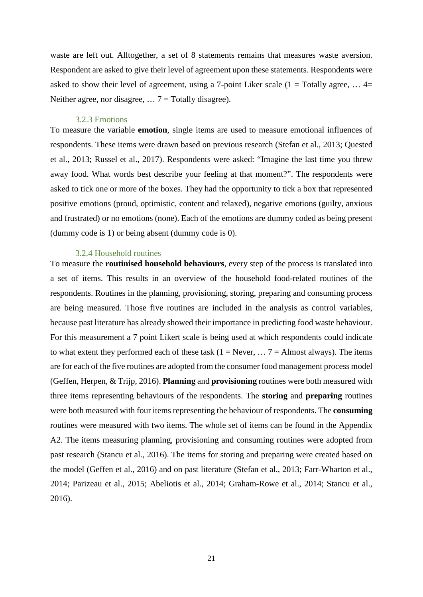waste are left out. Alltogether, a set of 8 statements remains that measures waste aversion. Respondent are asked to give their level of agreement upon these statements. Respondents were asked to show their level of agreement, using a 7-point Liker scale  $(1 = \text{Totally agree}, ... 4 =$ Neither agree, nor disagree,  $\ldots$  7 = Totally disagree).

#### 3.2.3 Emotions

<span id="page-21-0"></span>To measure the variable **emotion**, single items are used to measure emotional influences of respondents. These items were drawn based on previous research (Stefan et al., 2013; Quested et al., 2013; Russel et al., 2017). Respondents were asked: "Imagine the last time you threw away food. What words best describe your feeling at that moment?". The respondents were asked to tick one or more of the boxes. They had the opportunity to tick a box that represented positive emotions (proud, optimistic, content and relaxed), negative emotions (guilty, anxious and frustrated) or no emotions (none). Each of the emotions are dummy coded as being present (dummy code is 1) or being absent (dummy code is 0).

#### 3.2.4 Household routines

<span id="page-21-1"></span>To measure the **routinised household behaviours**, every step of the process is translated into a set of items. This results in an overview of the household food-related routines of the respondents. Routines in the planning, provisioning, storing, preparing and consuming process are being measured. Those five routines are included in the analysis as control variables, because past literature has already showed their importance in predicting food waste behaviour. For this measurement a 7 point Likert scale is being used at which respondents could indicate to what extent they performed each of these task  $(1 = \text{Never}, \ldots 7 = \text{Almost always})$ . The items are for each of the five routines are adopted from the consumer food management process model (Geffen, Herpen, & Trijp, 2016). **Planning** and **provisioning** routines were both measured with three items representing behaviours of the respondents. The **storing** and **preparing** routines were both measured with four items representing the behaviour of respondents. The **consuming** routines were measured with two items. The whole set of items can be found in the Appendix A2. The items measuring planning, provisioning and consuming routines were adopted from past research (Stancu et al., 2016). The items for storing and preparing were created based on the model (Geffen et al., 2016) and on past literature (Stefan et al., 2013; Farr-Wharton et al., 2014; Parizeau et al., 2015; Abeliotis et al., 2014; Graham-Rowe et al., 2014; Stancu et al., 2016).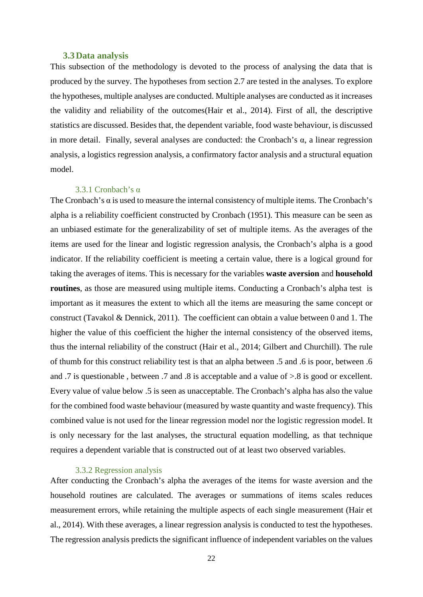#### **3.3Data analysis**

<span id="page-22-0"></span>This subsection of the methodology is devoted to the process of analysing the data that is produced by the survey. The hypotheses from section 2.7 are tested in the analyses. To explore the hypotheses, multiple analyses are conducted. Multiple analyses are conducted as it increases the validity and reliability of the outcomes(Hair et al., 2014). First of all, the descriptive statistics are discussed. Besides that, the dependent variable, food waste behaviour, is discussed in more detail. Finally, several analyses are conducted: the Cronbach's  $\alpha$ , a linear regression analysis, a logistics regression analysis, a confirmatory factor analysis and a structural equation model.

#### 3.3.1 Cronbach's α

<span id="page-22-1"></span>The Cronbach's  $\alpha$  is used to measure the internal consistency of multiple items. The Cronbach's alpha is a reliability coefficient constructed by Cronbach (1951). This measure can be seen as an unbiased estimate for the generalizability of set of multiple items. As the averages of the items are used for the linear and logistic regression analysis, the Cronbach's alpha is a good indicator. If the reliability coefficient is meeting a certain value, there is a logical ground for taking the averages of items. This is necessary for the variables **waste aversion** and **household routines**, as those are measured using multiple items. Conducting a Cronbach's alpha test is important as it measures the extent to which all the items are measuring the same concept or construct (Tavakol & Dennick, 2011). The coefficient can obtain a value between 0 and 1. The higher the value of this coefficient the higher the internal consistency of the observed items, thus the internal reliability of the construct (Hair et al., 2014; Gilbert and Churchill). The rule of thumb for this construct reliability test is that an alpha between .5 and .6 is poor, between .6 and .7 is questionable , between .7 and .8 is acceptable and a value of >.8 is good or excellent. Every value of value below .5 is seen as unacceptable. The Cronbach's alpha has also the value for the combined food waste behaviour (measured by waste quantity and waste frequency). This combined value is not used for the linear regression model nor the logistic regression model. It is only necessary for the last analyses, the structural equation modelling, as that technique requires a dependent variable that is constructed out of at least two observed variables.

#### 3.3.2 Regression analysis

<span id="page-22-2"></span>After conducting the Cronbach's alpha the averages of the items for waste aversion and the household routines are calculated. The averages or summations of items scales reduces measurement errors, while retaining the multiple aspects of each single measurement (Hair et al., 2014). With these averages, a linear regression analysis is conducted to test the hypotheses. The regression analysis predicts the significant influence of independent variables on the values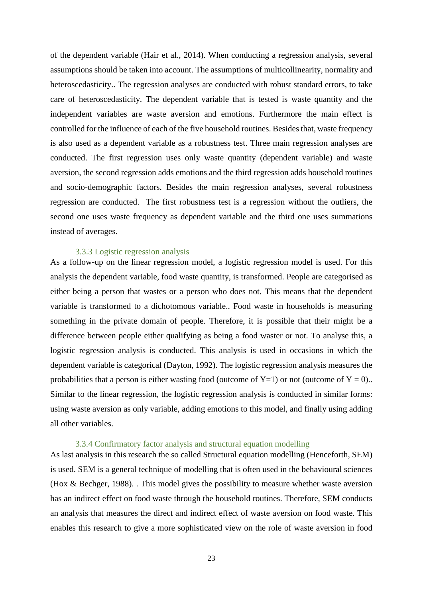of the dependent variable (Hair et al., 2014). When conducting a regression analysis, several assumptions should be taken into account. The assumptions of multicollinearity, normality and heteroscedasticity.. The regression analyses are conducted with robust standard errors, to take care of heteroscedasticity. The dependent variable that is tested is waste quantity and the independent variables are waste aversion and emotions. Furthermore the main effect is controlled for the influence of each of the five household routines. Besides that, waste frequency is also used as a dependent variable as a robustness test. Three main regression analyses are conducted. The first regression uses only waste quantity (dependent variable) and waste aversion, the second regression adds emotions and the third regression adds household routines and socio-demographic factors. Besides the main regression analyses, several robustness regression are conducted. The first robustness test is a regression without the outliers, the second one uses waste frequency as dependent variable and the third one uses summations instead of averages.

#### 3.3.3 Logistic regression analysis

<span id="page-23-0"></span>As a follow-up on the linear regression model, a logistic regression model is used. For this analysis the dependent variable, food waste quantity, is transformed. People are categorised as either being a person that wastes or a person who does not. This means that the dependent variable is transformed to a dichotomous variable.. Food waste in households is measuring something in the private domain of people. Therefore, it is possible that their might be a difference between people either qualifying as being a food waster or not. To analyse this, a logistic regression analysis is conducted. This analysis is used in occasions in which the dependent variable is categorical (Dayton, 1992). The logistic regression analysis measures the probabilities that a person is either wasting food (outcome of  $Y=1$ ) or not (outcome of  $Y=0$ ).. Similar to the linear regression, the logistic regression analysis is conducted in similar forms: using waste aversion as only variable, adding emotions to this model, and finally using adding all other variables.

#### 3.3.4 Confirmatory factor analysis and structural equation modelling

<span id="page-23-1"></span>As last analysis in this research the so called Structural equation modelling (Henceforth, SEM) is used. SEM is a general technique of modelling that is often used in the behavioural sciences (Hox & Bechger, 1988). . This model gives the possibility to measure whether waste aversion has an indirect effect on food waste through the household routines. Therefore, SEM conducts an analysis that measures the direct and indirect effect of waste aversion on food waste. This enables this research to give a more sophisticated view on the role of waste aversion in food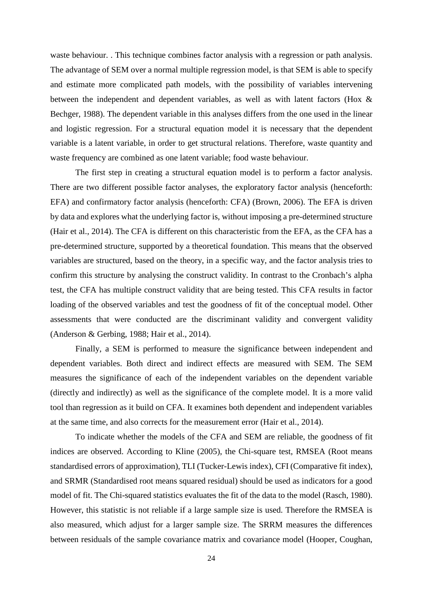waste behaviour. . This technique combines factor analysis with a regression or path analysis. The advantage of SEM over a normal multiple regression model, is that SEM is able to specify and estimate more complicated path models, with the possibility of variables intervening between the independent and dependent variables, as well as with latent factors (Hox & Bechger, 1988). The dependent variable in this analyses differs from the one used in the linear and logistic regression. For a structural equation model it is necessary that the dependent variable is a latent variable, in order to get structural relations. Therefore, waste quantity and waste frequency are combined as one latent variable; food waste behaviour.

The first step in creating a structural equation model is to perform a factor analysis. There are two different possible factor analyses, the exploratory factor analysis (henceforth: EFA) and confirmatory factor analysis (henceforth: CFA) (Brown, 2006). The EFA is driven by data and explores what the underlying factor is, without imposing a pre-determined structure (Hair et al., 2014). The CFA is different on this characteristic from the EFA, as the CFA has a pre-determined structure, supported by a theoretical foundation. This means that the observed variables are structured, based on the theory, in a specific way, and the factor analysis tries to confirm this structure by analysing the construct validity. In contrast to the Cronbach's alpha test, the CFA has multiple construct validity that are being tested. This CFA results in factor loading of the observed variables and test the goodness of fit of the conceptual model. Other assessments that were conducted are the discriminant validity and convergent validity (Anderson & Gerbing, 1988; Hair et al., 2014).

Finally, a SEM is performed to measure the significance between independent and dependent variables. Both direct and indirect effects are measured with SEM. The SEM measures the significance of each of the independent variables on the dependent variable (directly and indirectly) as well as the significance of the complete model. It is a more valid tool than regression as it build on CFA. It examines both dependent and independent variables at the same time, and also corrects for the measurement error (Hair et al., 2014).

To indicate whether the models of the CFA and SEM are reliable, the goodness of fit indices are observed. According to Kline (2005), the Chi-square test, RMSEA (Root means standardised errors of approximation), TLI (Tucker-Lewis index), CFI (Comparative fit index), and SRMR (Standardised root means squared residual) should be used as indicators for a good model of fit. The Chi-squared statistics evaluates the fit of the data to the model (Rasch, 1980). However, this statistic is not reliable if a large sample size is used. Therefore the RMSEA is also measured, which adjust for a larger sample size. The SRRM measures the differences between residuals of the sample covariance matrix and covariance model (Hooper, Coughan,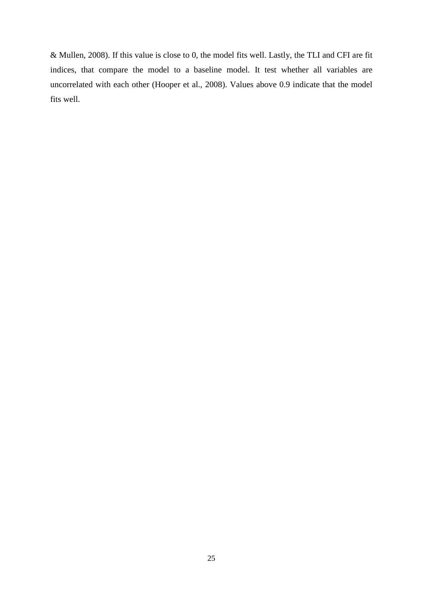& Mullen, 2008). If this value is close to 0, the model fits well. Lastly, the TLI and CFI are fit indices, that compare the model to a baseline model. It test whether all variables are uncorrelated with each other (Hooper et al., 2008). Values above 0.9 indicate that the model fits well.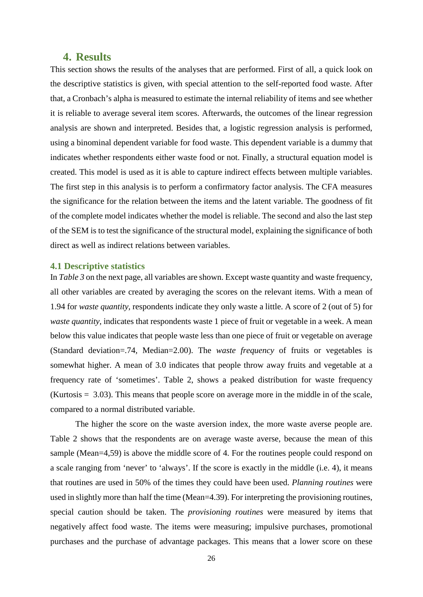## <span id="page-26-0"></span>**4. Results**

This section shows the results of the analyses that are performed. First of all, a quick look on the descriptive statistics is given, with special attention to the self-reported food waste. After that, a Cronbach's alpha is measured to estimate the internal reliability of items and see whether it is reliable to average several item scores. Afterwards, the outcomes of the linear regression analysis are shown and interpreted. Besides that, a logistic regression analysis is performed, using a binominal dependent variable for food waste. This dependent variable is a dummy that indicates whether respondents either waste food or not. Finally, a structural equation model is created. This model is used as it is able to capture indirect effects between multiple variables. The first step in this analysis is to perform a confirmatory factor analysis. The CFA measures the significance for the relation between the items and the latent variable. The goodness of fit of the complete model indicates whether the model is reliable. The second and also the last step of the SEM is to test the significance of the structural model, explaining the significance of both direct as well as indirect relations between variables.

#### <span id="page-26-1"></span>**4.1 Descriptive statistics**

In *[Table 3](#page-27-1)* on the next page, all variables are shown. Except waste quantity and waste frequency, all other variables are created by averaging the scores on the relevant items. With a mean of 1.94 for *waste quantity,* respondents indicate they only waste a little. A score of 2 (out of 5) for *waste quantity,* indicates that respondents waste 1 piece of fruit or vegetable in a week. A mean below this value indicates that people waste less than one piece of fruit or vegetable on average (Standard deviation=.74, Median=2.00). The *waste frequency* of fruits or vegetables is somewhat higher. A mean of 3.0 indicates that people throw away fruits and vegetable at a frequency rate of 'sometimes'. Table 2, shows a peaked distribution for waste frequency (Kurtosis = 3.03). This means that people score on average more in the middle in of the scale, compared to a normal distributed variable.

The higher the score on the waste aversion index, the more waste averse people are. Table 2 shows that the respondents are on average waste averse, because the mean of this sample (Mean=4,59) is above the middle score of 4. For the routines people could respond on a scale ranging from 'never' to 'always'. If the score is exactly in the middle (i.e. 4), it means that routines are used in 50% of the times they could have been used. *Planning routines* were used in slightly more than half the time (Mean=4.39). For interpreting the provisioning routines, special caution should be taken. The *provisioning routines* were measured by items that negatively affect food waste. The items were measuring; impulsive purchases, promotional purchases and the purchase of advantage packages. This means that a lower score on these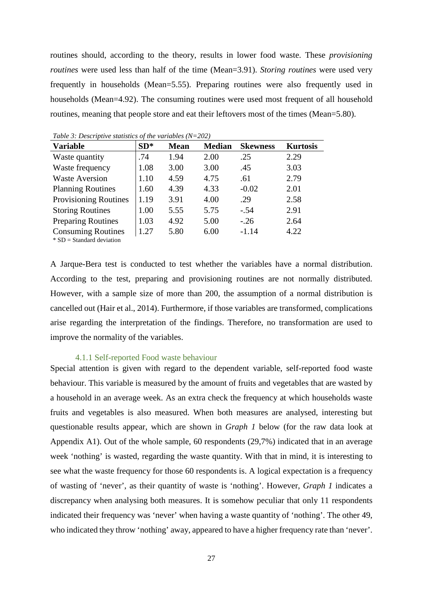routines should, according to the theory, results in lower food waste. These *provisioning routines* were used less than half of the time (Mean=3.91). *Storing routines* were used very frequently in households (Mean=5.55). Preparing routines were also frequently used in households (Mean=4.92). The consuming routines were used most frequent of all household routines, meaning that people store and eat their leftovers most of the times (Mean=5.80).

| <b>Variable</b>                                          | $SD^*$ | <b>Mean</b> | <b>Median</b> | <b>Skewness</b> | <b>Kurtosis</b> |
|----------------------------------------------------------|--------|-------------|---------------|-----------------|-----------------|
| Waste quantity                                           | .74    | 1.94        | 2.00          | .25             | 2.29            |
| Waste frequency                                          | 1.08   | 3.00        | 3.00          | .45             | 3.03            |
| <b>Waste Aversion</b>                                    | 1.10   | 4.59        | 4.75          | .61             | 2.79            |
| <b>Planning Routines</b>                                 | 1.60   | 4.39        | 4.33          | $-0.02$         | 2.01            |
| <b>Provisioning Routines</b>                             | 1.19   | 3.91        | 4.00          | .29             | 2.58            |
| <b>Storing Routines</b>                                  | 1.00   | 5.55        | 5.75          | $-.54$          | 2.91            |
| <b>Preparing Routines</b>                                | 1.03   | 4.92        | 5.00          | $-.26$          | 2.64            |
| <b>Consuming Routines</b><br>$*$ SD = Standard deviation | 1.27   | 5.80        | 6.00          | $-1.14$         | 4.22            |

<span id="page-27-1"></span>*Table 3: Descriptive statistics of the variables (N=202)*

A Jarque-Bera test is conducted to test whether the variables have a normal distribution. According to the test, preparing and provisioning routines are not normally distributed. However, with a sample size of more than 200, the assumption of a normal distribution is cancelled out (Hair et al., 2014). Furthermore, if those variables are transformed, complications arise regarding the interpretation of the findings. Therefore, no transformation are used to improve the normality of the variables.

#### 4.1.1 Self-reported Food waste behaviour

<span id="page-27-0"></span>Special attention is given with regard to the dependent variable, self-reported food waste behaviour. This variable is measured by the amount of fruits and vegetables that are wasted by a household in an average week. As an extra check the frequency at which households waste fruits and vegetables is also measured. When both measures are analysed, interesting but questionable results appear, which are shown in *[Graph 1](#page-28-1)* below (for the raw data look at Appendix A1). Out of the whole sample, 60 respondents (29,7%) indicated that in an average week 'nothing' is wasted, regarding the waste quantity. With that in mind, it is interesting to see what the waste frequency for those 60 respondents is. A logical expectation is a frequency of wasting of 'never', as their quantity of waste is 'nothing'. However, *[Graph 1](#page-28-1)* indicates a discrepancy when analysing both measures. It is somehow peculiar that only 11 respondents indicated their frequency was 'never' when having a waste quantity of 'nothing'. The other 49, who indicated they throw 'nothing' away, appeared to have a higher frequency rate than 'never'.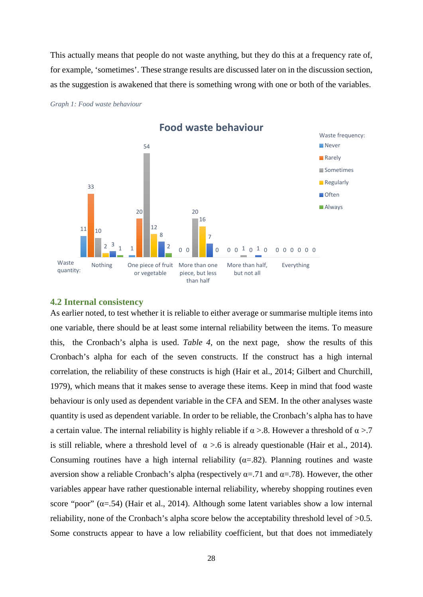This actually means that people do not waste anything, but they do this at a frequency rate of, for example, 'sometimes'. These strange results are discussed later on in the discussion section, as the suggestion is awakened that there is something wrong with one or both of the variables.

<span id="page-28-1"></span>*Graph 1: Food waste behaviour*



<span id="page-28-0"></span>**4.2 Internal consistency**

As earlier noted, to test whether it is reliable to either average or summarise multiple items into one variable, there should be at least some internal reliability between the items. To measure this, the Cronbach's alpha is used. *[Table 4](#page-29-0)*, on the next page, show the results of this Cronbach's alpha for each of the seven constructs. If the construct has a high internal correlation, the reliability of these constructs is high (Hair et al., 2014; Gilbert and Churchill, 1979), which means that it makes sense to average these items. Keep in mind that food waste behaviour is only used as dependent variable in the CFA and SEM. In the other analyses waste quantity is used as dependent variable. In order to be reliable, the Cronbach's alpha has to have a certain value. The internal reliability is highly reliable if  $\alpha > 0.8$ . However a threshold of  $\alpha > 0.7$ is still reliable, where a threshold level of  $\alpha > 0.6$  is already questionable (Hair et al., 2014). Consuming routines have a high internal reliability ( $\alpha$ =.82). Planning routines and waste aversion show a reliable Cronbach's alpha (respectively α=.71 and α=.78). However, the other variables appear have rather questionable internal reliability, whereby shopping routines even score "poor"  $(\alpha = .54)$  (Hair et al., 2014). Although some latent variables show a low internal reliability, none of the Cronbach's alpha score below the acceptability threshold level of >0.5. Some constructs appear to have a low reliability coefficient, but that does not immediately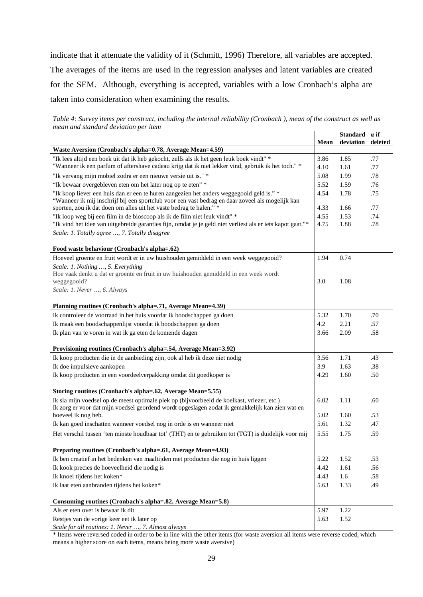indicate that it attenuate the validity of it (Schmitt, 1996) Therefore, all variables are accepted.

The averages of the items are used in the regression analyses and latent variables are created for the SEM. Although, everything is accepted, variables with a low Cronbach's alpha are taken into consideration when examining the results.

<span id="page-29-0"></span>*Table 4: Survey items per construct, including the internal reliability (Cronbach ), mean of the construct as well as mean and standard deviation per item*

|                                                                                                                                                                         | Mean | Standard a if<br>deviation | deleted |
|-------------------------------------------------------------------------------------------------------------------------------------------------------------------------|------|----------------------------|---------|
| Waste Aversion (Cronbach's alpha=0.78, Average Mean=4.59)                                                                                                               |      |                            |         |
| "Ik lees altijd een boek uit dat ik heb gekocht, zelfs als ik het geen leuk boek vindt" *                                                                               | 3.86 | 1.85                       | .77     |
| "Wanneer ik een parfum of aftershave cadeau krijg dat ik niet lekker vind, gebruik ik het toch." *                                                                      | 4.10 | 1.61                       | .77     |
| "Ik vervang mijn mobiel zodra er een nieuwe versie uit is." *                                                                                                           | 5.08 | 1.99                       | .78     |
| "Ik bewaar overgebleven eten om het later nog op te eten" *                                                                                                             | 5.52 | 1.59                       | .76     |
| "Ik koop liever een huis dan er een te huren aangezien het anders weggegooid geld is." *                                                                                | 4.54 | 1.78                       | .75     |
| "Wanneer ik mij inschrijf bij een sportclub voor een vast bedrag en daar zoveel als mogelijk kan<br>sporten, zou ik dat doen om alles uit het vaste bedrag te halen." * | 4.33 | 1.66                       | .77     |
| "Ik loop weg bij een film in de bioscoop als ik de film niet leuk vindt" *                                                                                              | 4.55 | 1.53                       | .74     |
| "Ik vind het idee van uitgebreide garanties fijn, omdat je je geld niet verliest als er iets kapot gaat."*                                                              | 4.75 | 1.88                       | .78     |
| Scale: 1. Totally agree , 7. Totally disagree                                                                                                                           |      |                            |         |
| Food waste behaviour (Cronbach's alpha=.62)                                                                                                                             |      |                            |         |
| Hoeveel groente en fruit wordt er in uw huishouden gemiddeld in een week weggegooid?                                                                                    | 1.94 | 0.74                       |         |
| Scale: 1. Nothing , 5. Everything                                                                                                                                       |      |                            |         |
| Hoe vaak denkt u dat er groente en fruit in uw huishouden gemiddeld in een week wordt                                                                                   |      |                            |         |
| weggegooid?                                                                                                                                                             | 3.0  | 1.08                       |         |
| Scale: 1. Never , 6. Always                                                                                                                                             |      |                            |         |
| Planning routines (Cronbach's alpha=.71, Average Mean=4.39)                                                                                                             |      |                            |         |
| Ik controleer de voorraad in het huis voordat ik boodschappen ga doen                                                                                                   | 5.32 | 1.70                       | .70     |
| Ik maak een boodschappenlijst voordat ik boodschappen ga doen                                                                                                           | 4.2  | 2.21                       | .57     |
| Ik plan van te voren in wat ik ga eten de komende dagen                                                                                                                 | 3.66 | 2.09                       | .58     |
| Provisioning routines (Cronbach's alpha=.54, Average Mean=3.92)                                                                                                         |      |                            |         |
| Ik koop producten die in de aanbieding zijn, ook al heb ik deze niet nodig                                                                                              | 3.56 | 1.71                       | .43     |
| Ik doe impulsieve aankopen                                                                                                                                              | 3.9  | 1.63                       | .38     |
| Ik koop producten in een voordeelverpakking omdat dit goedkoper is                                                                                                      | 4.29 | 1.60                       | .50     |
| Storing routines (Cronbach's alpha=.62, Average Mean=5.55)                                                                                                              |      |                            |         |
| Ik sla mijn voedsel op de meest optimale plek op (bijvoorbeeld de koelkast, vriezer, etc.)                                                                              | 6.02 | 1.11                       | .60     |
| Ik zorg er voor dat mijn voedsel geordend wordt opgeslagen zodat ik gemakkelijk kan zien wat en                                                                         |      |                            |         |
| hoeveel ik nog heb.                                                                                                                                                     | 5.02 | 1.60                       | .53     |
| Ik kan goed inschatten wanneer voedsel nog in orde is en wanneer niet                                                                                                   | 5.61 | 1.32                       | .47     |
| Het verschil tussen 'ten minste houdbaar tot' (THT) en te gebruiken tot (TGT) is duidelijk voor mij                                                                     | 5.55 | 1.75                       | .59     |
| Preparing routines (Cronbach's alpha=.61, Average Mean=4.93)                                                                                                            |      |                            |         |
| Ik ben creatief in het bedenken van maaltijden met producten die nog in huis liggen                                                                                     | 5.22 | 1.52                       | .53     |
| Ik kook precies de hoeveelheid die nodig is                                                                                                                             | 4.42 | 1.61                       | .56     |
| Ik knoei tijdens het koken*                                                                                                                                             | 4.43 | 1.6                        | .58     |
| Ik laat eten aanbranden tijdens het koken*                                                                                                                              | 5.63 | 1.33                       | .49     |
| Consuming routines (Cronbach's alpha=.82, Average Mean=5.8)                                                                                                             |      |                            |         |
| Als er eten over is bewaar ik dit                                                                                                                                       | 5.97 | 1.22                       |         |
| Restjes van de vorige keer eet ik later op                                                                                                                              | 5.63 | 1.52                       |         |
| Scale for all routines: 1. Never , 7. Almost always                                                                                                                     |      |                            |         |

\* Items were reversed coded in order to be in line with the other items (for waste aversion all items were reverse coded, which means a higher score on each items, means being more waste aversive)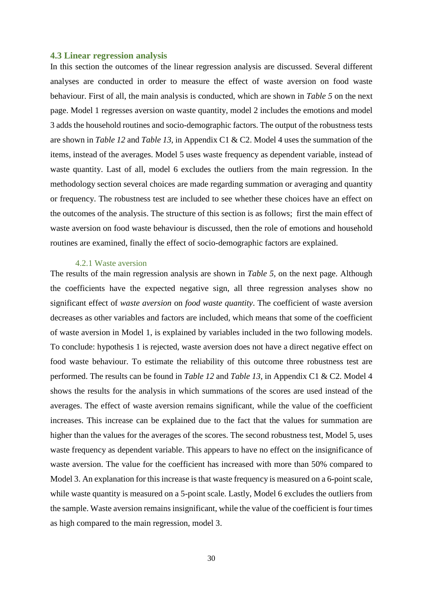#### <span id="page-30-0"></span>**4.3 Linear regression analysis**

In this section the outcomes of the linear regression analysis are discussed. Several different analyses are conducted in order to measure the effect of waste aversion on food waste behaviour. First of all, the main analysis is conducted, which are shown in *[Table 5](#page-31-0)* on the next page. Model 1 regresses aversion on waste quantity, model 2 includes the emotions and model 3 adds the household routines and socio-demographic factors. The output of the robustness tests are shown in *[Table 12](#page-63-0)* and *[Table 13](#page-64-0)*, in Appendix C1 & C2. Model 4 uses the summation of the items, instead of the averages. Model 5 uses waste frequency as dependent variable, instead of waste quantity. Last of all, model 6 excludes the outliers from the main regression. In the methodology section several choices are made regarding summation or averaging and quantity or frequency. The robustness test are included to see whether these choices have an effect on the outcomes of the analysis. The structure of this section is as follows; first the main effect of waste aversion on food waste behaviour is discussed, then the role of emotions and household routines are examined, finally the effect of socio-demographic factors are explained.

#### 4.2.1 Waste aversion

<span id="page-30-1"></span>The results of the main regression analysis are shown in *[Table 5](#page-31-0)*, on the next page. Although the coefficients have the expected negative sign, all three regression analyses show no significant effect of *waste aversion* on *food waste quantity*. The coefficient of waste aversion decreases as other variables and factors are included, which means that some of the coefficient of waste aversion in Model 1, is explained by variables included in the two following models. To conclude: hypothesis 1 is rejected, waste aversion does not have a direct negative effect on food waste behaviour. To estimate the reliability of this outcome three robustness test are performed. The results can be found in *[Table 12](#page-63-0)* and *[Table 13](#page-64-0)*, in Appendix C1 & C2. Model 4 shows the results for the analysis in which summations of the scores are used instead of the averages. The effect of waste aversion remains significant, while the value of the coefficient increases. This increase can be explained due to the fact that the values for summation are higher than the values for the averages of the scores. The second robustness test, Model 5, uses waste frequency as dependent variable. This appears to have no effect on the insignificance of waste aversion. The value for the coefficient has increased with more than 50% compared to Model 3. An explanation for this increase is that waste frequency is measured on a 6-point scale, while waste quantity is measured on a 5-point scale. Lastly, Model 6 excludes the outliers from the sample. Waste aversion remains insignificant, while the value of the coefficient is four times as high compared to the main regression, model 3.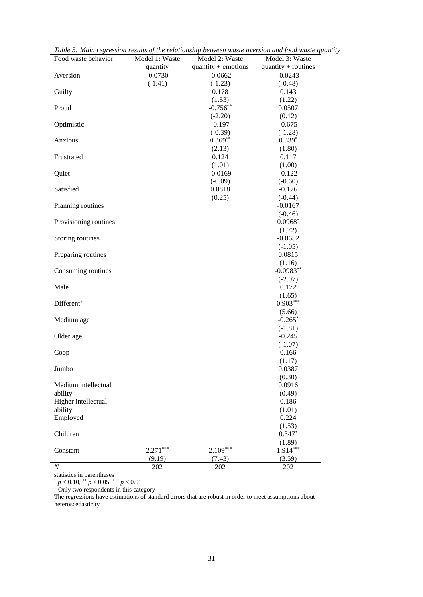| Food waste behavior            | Model 1: Waste | Model 2: Waste        | Model 3: Waste        |
|--------------------------------|----------------|-----------------------|-----------------------|
|                                | quantity       | $quantity + emotions$ | quantity + routines   |
| Aversion                       | $-0.0730$      | $-0.0662$             | $-0.0243$             |
|                                | $(-1.41)$      | $(-1.23)$             | $(-0.48)$             |
| Guilty                         |                | 0.178                 | 0.143                 |
|                                |                | (1.53)                | (1.22)                |
| Proud                          |                | $-0.756**$            | 0.0507                |
|                                |                | $(-2.20)$             | (0.12)                |
| Optimistic                     |                | $-0.197$              | $-0.675$              |
|                                |                | $(-0.39)$             | $(-1.28)$             |
| Anxious                        |                | $0.369**$             | $0.339*$              |
|                                |                | (2.13)                | (1.80)                |
| Frustrated                     |                | 0.124                 | 0.117                 |
|                                |                | (1.01)                | (1.00)                |
| Quiet                          |                | $-0.0169$             | $-0.122$              |
|                                |                | $(-0.09)$             | $(-0.60)$             |
| Satisfied                      |                | 0.0818                | $-0.176$              |
|                                |                | (0.25)                | $(-0.44)$             |
| Planning routines              |                |                       | $-0.0167$             |
|                                |                |                       | $(-0.46)$             |
| Provisioning routines          |                |                       | $0.0968*$             |
|                                |                |                       | (1.72)                |
| Storing routines               |                |                       | $-0.0652$             |
|                                |                |                       | $(-1.05)$             |
| Preparing routines             |                |                       | 0.0815                |
|                                |                |                       | (1.16)                |
| Consuming routines             |                |                       | $-0.0983**$           |
|                                |                |                       | $(-2.07)$             |
| Male                           |                |                       | 0.172                 |
|                                |                |                       | (1.65)                |
| Different <sup>+</sup>         |                |                       | $0.903***$            |
|                                |                |                       | (5.66)                |
| Medium age                     |                |                       | $-0.265$ <sup>*</sup> |
|                                |                |                       | $(-1.81)$             |
| Older age                      |                |                       | $-0.245$              |
|                                |                |                       | $(-1.07)$             |
| Coop                           |                |                       | 0.166                 |
|                                |                |                       | (1.17)                |
| Jumbo                          |                |                       | 0.0387                |
|                                |                |                       | (0.30)                |
| Medium intellectual            |                |                       | 0.0916                |
| ability<br>Higher intellectual |                |                       | (0.49)                |
|                                |                |                       | 0.186                 |
| ability                        |                |                       | (1.01)                |
| Employed                       |                |                       | 0.224                 |
|                                |                |                       | (1.53)<br>$0.347*$    |
| Children                       |                |                       |                       |
|                                | $2.271***$     | $2.109***$            | (1.89)<br>1.914***    |
| Constant                       |                |                       |                       |
|                                | (9.19)         | (7.43)                | (3.59)                |
| $\boldsymbol{N}$               | 202            | 202                   | 202                   |

<span id="page-31-0"></span>*Table 5: Main regression results of the relationship between waste aversion and food waste quantity*

statistics in parentheses

\* *p* < 0.10, \*\* *p* < 0.05, \*\*\* *p* < 0.01

<sup>+</sup> Only two respondents in this category

The regressions have estimations of standard errors that are robust in order to meet assumptions about heteroscedasticity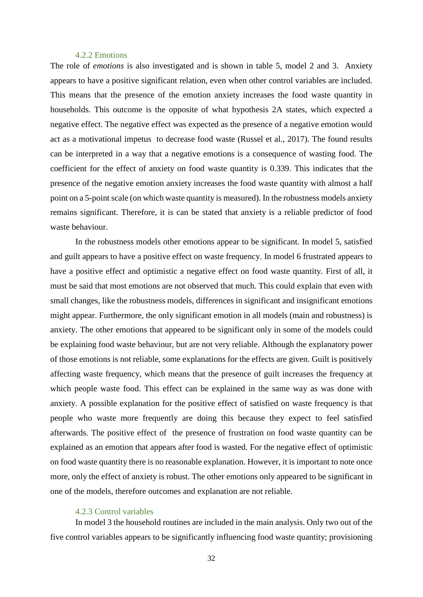#### 4.2.2 Emotions

<span id="page-32-0"></span>The role of *emotions* is also investigated and is shown in table 5, model 2 and 3. Anxiety appears to have a positive significant relation, even when other control variables are included. This means that the presence of the emotion anxiety increases the food waste quantity in households. This outcome is the opposite of what hypothesis 2A states, which expected a negative effect. The negative effect was expected as the presence of a negative emotion would act as a motivational impetus to decrease food waste (Russel et al., 2017). The found results can be interpreted in a way that a negative emotions is a consequence of wasting food. The coefficient for the effect of anxiety on food waste quantity is 0.339. This indicates that the presence of the negative emotion anxiety increases the food waste quantity with almost a half point on a 5-point scale (on which waste quantity is measured). In the robustness models anxiety remains significant. Therefore, it is can be stated that anxiety is a reliable predictor of food waste behaviour.

In the robustness models other emotions appear to be significant. In model 5, satisfied and guilt appears to have a positive effect on waste frequency. In model 6 frustrated appears to have a positive effect and optimistic a negative effect on food waste quantity. First of all, it must be said that most emotions are not observed that much. This could explain that even with small changes, like the robustness models, differences in significant and insignificant emotions might appear. Furthermore, the only significant emotion in all models (main and robustness) is anxiety. The other emotions that appeared to be significant only in some of the models could be explaining food waste behaviour, but are not very reliable. Although the explanatory power of those emotions is not reliable, some explanations for the effects are given. Guilt is positively affecting waste frequency, which means that the presence of guilt increases the frequency at which people waste food. This effect can be explained in the same way as was done with anxiety. A possible explanation for the positive effect of satisfied on waste frequency is that people who waste more frequently are doing this because they expect to feel satisfied afterwards. The positive effect of the presence of frustration on food waste quantity can be explained as an emotion that appears after food is wasted. For the negative effect of optimistic on food waste quantity there is no reasonable explanation. However, it is important to note once more, only the effect of anxiety is robust. The other emotions only appeared to be significant in one of the models, therefore outcomes and explanation are not reliable.

#### 4.2.3 Control variables

<span id="page-32-1"></span>In model 3 the household routines are included in the main analysis. Only two out of the five control variables appears to be significantly influencing food waste quantity; provisioning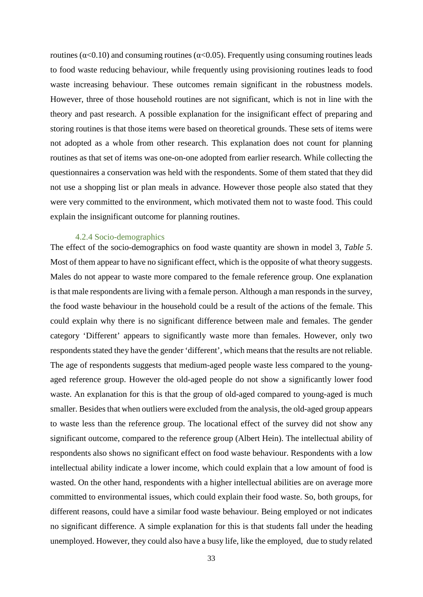routines ( $\alpha$ <0.10) and consuming routines ( $\alpha$ <0.05). Frequently using consuming routines leads to food waste reducing behaviour, while frequently using provisioning routines leads to food waste increasing behaviour. These outcomes remain significant in the robustness models. However, three of those household routines are not significant, which is not in line with the theory and past research. A possible explanation for the insignificant effect of preparing and storing routines is that those items were based on theoretical grounds. These sets of items were not adopted as a whole from other research. This explanation does not count for planning routines as that set of items was one-on-one adopted from earlier research. While collecting the questionnaires a conservation was held with the respondents. Some of them stated that they did not use a shopping list or plan meals in advance. However those people also stated that they were very committed to the environment, which motivated them not to waste food. This could explain the insignificant outcome for planning routines.

#### 4.2.4 Socio-demographics

<span id="page-33-0"></span>The effect of the socio-demographics on food waste quantity are shown in model 3, *[Table 5](#page-31-0)*. Most of them appear to have no significant effect, which is the opposite of what theory suggests. Males do not appear to waste more compared to the female reference group. One explanation is that male respondents are living with a female person. Although a man responds in the survey, the food waste behaviour in the household could be a result of the actions of the female. This could explain why there is no significant difference between male and females. The gender category 'Different' appears to significantly waste more than females. However, only two respondents stated they have the gender 'different', which means that the results are not reliable. The age of respondents suggests that medium-aged people waste less compared to the youngaged reference group. However the old-aged people do not show a significantly lower food waste. An explanation for this is that the group of old-aged compared to young-aged is much smaller. Besides that when outliers were excluded from the analysis, the old-aged group appears to waste less than the reference group. The locational effect of the survey did not show any significant outcome, compared to the reference group (Albert Hein). The intellectual ability of respondents also shows no significant effect on food waste behaviour. Respondents with a low intellectual ability indicate a lower income, which could explain that a low amount of food is wasted. On the other hand, respondents with a higher intellectual abilities are on average more committed to environmental issues, which could explain their food waste. So, both groups, for different reasons, could have a similar food waste behaviour. Being employed or not indicates no significant difference. A simple explanation for this is that students fall under the heading unemployed. However, they could also have a busy life, like the employed, due to study related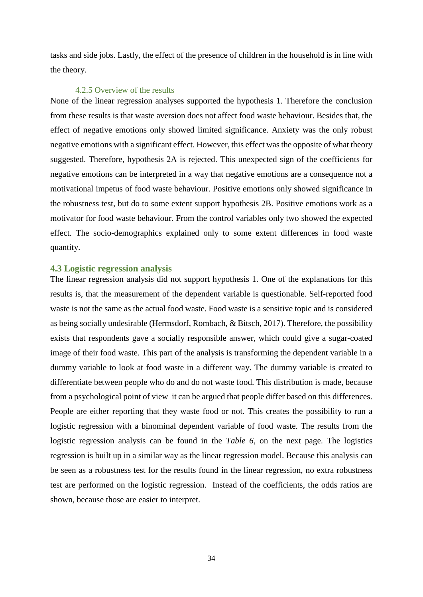tasks and side jobs. Lastly, the effect of the presence of children in the household is in line with the theory.

#### 4.2.5 Overview of the results

<span id="page-34-0"></span>None of the linear regression analyses supported the hypothesis 1. Therefore the conclusion from these results is that waste aversion does not affect food waste behaviour. Besides that, the effect of negative emotions only showed limited significance. Anxiety was the only robust negative emotions with a significant effect. However, this effect was the opposite of what theory suggested. Therefore, hypothesis 2A is rejected. This unexpected sign of the coefficients for negative emotions can be interpreted in a way that negative emotions are a consequence not a motivational impetus of food waste behaviour. Positive emotions only showed significance in the robustness test, but do to some extent support hypothesis 2B. Positive emotions work as a motivator for food waste behaviour. From the control variables only two showed the expected effect. The socio-demographics explained only to some extent differences in food waste quantity.

#### <span id="page-34-1"></span>**4.3 Logistic regression analysis**

The linear regression analysis did not support hypothesis 1. One of the explanations for this results is, that the measurement of the dependent variable is questionable. Self-reported food waste is not the same as the actual food waste. Food waste is a sensitive topic and is considered as being socially undesirable (Hermsdorf, Rombach, & Bitsch, 2017). Therefore, the possibility exists that respondents gave a socially responsible answer, which could give a sugar-coated image of their food waste. This part of the analysis is transforming the dependent variable in a dummy variable to look at food waste in a different way. The dummy variable is created to differentiate between people who do and do not waste food. This distribution is made, because from a psychological point of view it can be argued that people differ based on this differences. People are either reporting that they waste food or not. This creates the possibility to run a logistic regression with a binominal dependent variable of food waste. The results from the logistic regression analysis can be found in the *[Table 6](#page-35-0)*, on the next page. The logistics regression is built up in a similar way as the linear regression model. Because this analysis can be seen as a robustness test for the results found in the linear regression, no extra robustness test are performed on the logistic regression. Instead of the coefficients, the odds ratios are shown, because those are easier to interpret.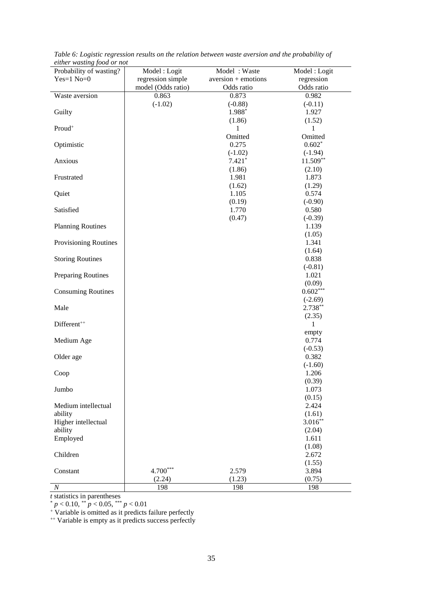| $\cdots$ $\cdots$<br>Probability of wasting? | Model: Logit       | Model: Waste                 | Model: Logit       |
|----------------------------------------------|--------------------|------------------------------|--------------------|
| $Yes=1 No=0$                                 | regression simple  | $aversion + \text{emotions}$ | regression         |
|                                              | model (Odds ratio) | Odds ratio                   | Odds ratio         |
| Waste aversion                               | 0.863              | 0.873                        | 0.982              |
|                                              | $(-1.02)$          | $(-0.88)$                    | $(-0.11)$          |
| Guilty                                       |                    | 1.988*                       | 1.927              |
|                                              |                    | (1.86)                       | (1.52)             |
| Proud <sup>+</sup>                           |                    | 1                            | 1                  |
|                                              |                    | Omitted                      | Omitted            |
| Optimistic                                   |                    | 0.275                        | $0.602*$           |
|                                              |                    | $(-1.02)$                    | $(-1.94)$          |
| Anxious                                      |                    | $7.421*$                     | $11.509**$         |
|                                              |                    | (1.86)                       | (2.10)             |
| Frustrated                                   |                    | 1.981                        | 1.873              |
|                                              |                    | (1.62)                       | (1.29)             |
| Quiet                                        |                    | 1.105                        | 0.574              |
| Satisfied                                    |                    | (0.19)<br>1.770              | $(-0.90)$<br>0.580 |
|                                              |                    | (0.47)                       | $(-0.39)$          |
| <b>Planning Routines</b>                     |                    |                              | 1.139              |
|                                              |                    |                              | (1.05)             |
| Provisioning Routines                        |                    |                              | 1.341              |
|                                              |                    |                              | (1.64)             |
| <b>Storing Routines</b>                      |                    |                              | 0.838              |
|                                              |                    |                              | $(-0.81)$          |
| Preparing Routines                           |                    |                              | 1.021              |
|                                              |                    |                              | (0.09)             |
| <b>Consuming Routines</b>                    |                    |                              | $0.602***$         |
|                                              |                    |                              | $(-2.69)$          |
| Male                                         |                    |                              | $2.738**$          |
|                                              |                    |                              | (2.35)             |
| Different <sup>++</sup>                      |                    |                              | 1                  |
|                                              |                    |                              | empty              |
| Medium Age                                   |                    |                              | 0.774              |
| Older age                                    |                    |                              | $(-0.53)$<br>0.382 |
|                                              |                    |                              | $(-1.60)$          |
| Coop                                         |                    |                              | 1.206              |
|                                              |                    |                              | (0.39)             |
| Jumbo                                        |                    |                              | 1.073              |
|                                              |                    |                              | (0.15)             |
| Medium intellectual                          |                    |                              | 2.424              |
| ability                                      |                    |                              | (1.61)             |
| Higher intellectual                          |                    |                              | $3.016**$          |
| ability                                      |                    |                              | (2.04)             |
| Employed                                     |                    |                              | 1.611              |
|                                              |                    |                              | (1.08)             |
| Children                                     |                    |                              | 2.672              |
|                                              |                    |                              | (1.55)             |
| Constant                                     | $4.700***$         | 2.579                        | 3.894              |
|                                              | (2.24)             | (1.23)                       | (0.75)             |
| N                                            | 198                | 198                          | 198                |

<span id="page-35-0"></span>*Table 6: Logistic regression results on the relation between waste aversion and the probability of either wasting food or not*

*t* statistics in parentheses

\* *p* < 0.10, \*\* *p* < 0.05, \*\*\* *p* < 0.01

<sup>+</sup> Variable is omitted as it predicts failure perfectly

<sup>++</sup> Variable is empty as it predicts success perfectly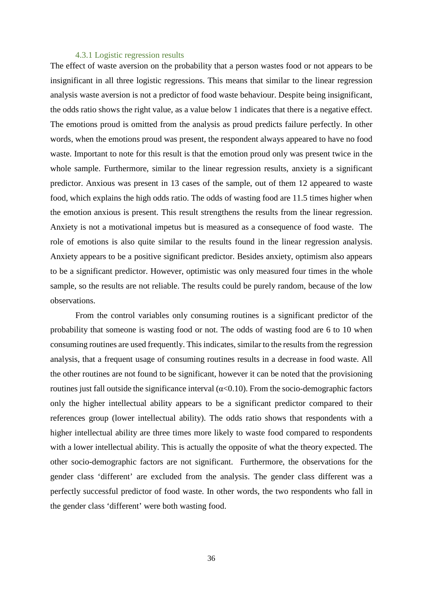#### 4.3.1 Logistic regression results

<span id="page-36-0"></span>The effect of waste aversion on the probability that a person wastes food or not appears to be insignificant in all three logistic regressions. This means that similar to the linear regression analysis waste aversion is not a predictor of food waste behaviour. Despite being insignificant, the odds ratio shows the right value, as a value below 1 indicates that there is a negative effect. The emotions proud is omitted from the analysis as proud predicts failure perfectly. In other words, when the emotions proud was present, the respondent always appeared to have no food waste. Important to note for this result is that the emotion proud only was present twice in the whole sample. Furthermore, similar to the linear regression results, anxiety is a significant predictor. Anxious was present in 13 cases of the sample, out of them 12 appeared to waste food, which explains the high odds ratio. The odds of wasting food are 11.5 times higher when the emotion anxious is present. This result strengthens the results from the linear regression. Anxiety is not a motivational impetus but is measured as a consequence of food waste. The role of emotions is also quite similar to the results found in the linear regression analysis. Anxiety appears to be a positive significant predictor. Besides anxiety, optimism also appears to be a significant predictor. However, optimistic was only measured four times in the whole sample, so the results are not reliable. The results could be purely random, because of the low observations.

From the control variables only consuming routines is a significant predictor of the probability that someone is wasting food or not. The odds of wasting food are 6 to 10 when consuming routines are used frequently. This indicates, similar to the results from the regression analysis, that a frequent usage of consuming routines results in a decrease in food waste. All the other routines are not found to be significant, however it can be noted that the provisioning routines just fall outside the significance interval ( $α<0.10$ ). From the socio-demographic factors only the higher intellectual ability appears to be a significant predictor compared to their references group (lower intellectual ability). The odds ratio shows that respondents with a higher intellectual ability are three times more likely to waste food compared to respondents with a lower intellectual ability. This is actually the opposite of what the theory expected. The other socio-demographic factors are not significant. Furthermore, the observations for the gender class 'different' are excluded from the analysis. The gender class different was a perfectly successful predictor of food waste. In other words, the two respondents who fall in the gender class 'different' were both wasting food.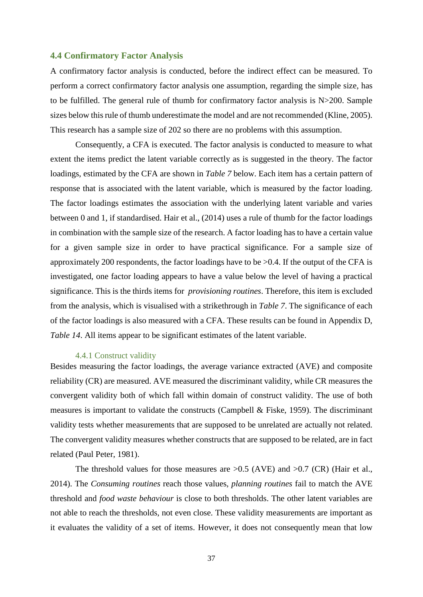#### <span id="page-37-0"></span>**4.4 Confirmatory Factor Analysis**

A confirmatory factor analysis is conducted, before the indirect effect can be measured. To perform a correct confirmatory factor analysis one assumption, regarding the simple size, has to be fulfilled. The general rule of thumb for confirmatory factor analysis is N>200. Sample sizes below this rule of thumb underestimate the model and are not recommended (Kline, 2005). This research has a sample size of 202 so there are no problems with this assumption.

Consequently, a CFA is executed. The factor analysis is conducted to measure to what extent the items predict the latent variable correctly as is suggested in the theory. The factor loadings, estimated by the CFA are shown in *[Table](#page-38-0) 7* below. Each item has a certain pattern of response that is associated with the latent variable, which is measured by the factor loading. The factor loadings estimates the association with the underlying latent variable and varies between 0 and 1, if standardised. Hair et al., (2014) uses a rule of thumb for the factor loadings in combination with the sample size of the research. A factor loading has to have a certain value for a given sample size in order to have practical significance. For a sample size of approximately 200 respondents, the factor loadings have to be >0.4. If the output of the CFA is investigated, one factor loading appears to have a value below the level of having a practical significance. This is the thirds items for *provisioning routines*. Therefore, this item is excluded from the analysis, which is visualised with a strikethrough in *[Table](#page-38-0) 7*. The significance of each of the factor loadings is also measured with a CFA. These results can be found in Appendix D, *Table 14.* All items appear to be significant estimates of the latent variable.

#### 4.4.1 Construct validity

<span id="page-37-1"></span>Besides measuring the factor loadings, the average variance extracted (AVE) and composite reliability (CR) are measured. AVE measured the discriminant validity, while CR measures the convergent validity both of which fall within domain of construct validity. The use of both measures is important to validate the constructs (Campbell & Fiske, 1959). The discriminant validity tests whether measurements that are supposed to be unrelated are actually not related. The convergent validity measures whether constructs that are supposed to be related, are in fact related (Paul Peter, 1981).

The threshold values for those measures are  $>0.5$  (AVE) and  $>0.7$  (CR) (Hair et al., 2014). The *Consuming routines* reach those values, *planning routines* fail to match the AVE threshold and *food waste behaviour* is close to both thresholds. The other latent variables are not able to reach the thresholds, not even close. These validity measurements are important as it evaluates the validity of a set of items. However, it does not consequently mean that low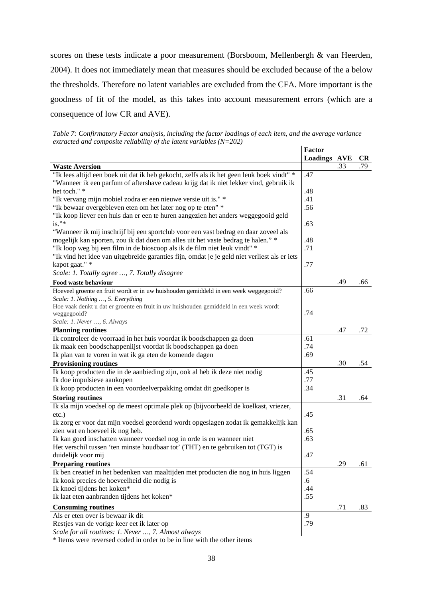scores on these tests indicate a poor measurement (Borsboom, Mellenbergh & van Heerden, 2004). It does not immediately mean that measures should be excluded because of the a below the thresholds. Therefore no latent variables are excluded from the CFA. More important is the goodness of fit of the model, as this takes into account measurement errors (which are a consequence of low CR and AVE).

<span id="page-38-0"></span>*Table 7: Confirmatory Factor analysis, including the factor loadings of each item, and the average variance extracted and composite reliability of the latent variables (N=202)*

|                                                                                              | Factor              |     |           |
|----------------------------------------------------------------------------------------------|---------------------|-----|-----------|
|                                                                                              | <b>Loadings AVE</b> |     | <b>CR</b> |
| <b>Waste Aversion</b>                                                                        |                     | .33 | .79       |
| "Ik lees altijd een boek uit dat ik heb gekocht, zelfs als ik het geen leuk boek vindt" *    | .47                 |     |           |
| "Wanneer ik een parfum of aftershave cadeau krijg dat ik niet lekker vind, gebruik ik        |                     |     |           |
| het toch." *                                                                                 | .48                 |     |           |
| "Ik vervang mijn mobiel zodra er een nieuwe versie uit is." *                                | .41                 |     |           |
| "Ik bewaar overgebleven eten om het later nog op te eten" *                                  | .56                 |     |           |
| "Ik koop liever een huis dan er een te huren aangezien het anders weggegooid geld            |                     |     |           |
| $is.$ "*                                                                                     | .63                 |     |           |
| "Wanneer ik mij inschrijf bij een sportclub voor een vast bedrag en daar zoveel als          |                     |     |           |
| mogelijk kan sporten, zou ik dat doen om alles uit het vaste bedrag te halen." *             | .48                 |     |           |
| "Ik loop weg bij een film in de bioscoop als ik de film niet leuk vindt" *                   | .71                 |     |           |
| "Ik vind het idee van uitgebreide garanties fijn, omdat je je geld niet verliest als er iets |                     |     |           |
| kapot gaat." *                                                                               | .77                 |     |           |
| Scale: 1. Totally agree , 7. Totally disagree                                                |                     |     |           |
| Food waste behaviour                                                                         |                     | .49 | .66       |
| Hoeveel groente en fruit wordt er in uw huishouden gemiddeld in een week weggegooid?         | .66                 |     |           |
| Scale: 1. Nothing , 5. Everything                                                            |                     |     |           |
| Hoe vaak denkt u dat er groente en fruit in uw huishouden gemiddeld in een week wordt        |                     |     |           |
| weggegooid?                                                                                  | .74                 |     |           |
| Scale: 1. Never , 6. Always                                                                  |                     |     |           |
| <b>Planning routines</b>                                                                     |                     | .47 | .72       |
| Ik controleer de voorraad in het huis voordat ik boodschappen ga doen                        | .61                 |     |           |
| Ik maak een boodschappenlijst voordat ik boodschappen ga doen                                | .74                 |     |           |
| Ik plan van te voren in wat ik ga eten de komende dagen                                      | .69                 |     |           |
| <b>Provisioning routines</b>                                                                 |                     | .30 | .54       |
| Ik koop producten die in de aanbieding zijn, ook al heb ik deze niet nodig                   | .45                 |     |           |
| Ik doe impulsieve aankopen                                                                   | .77                 |     |           |
| Ik koop producten in een voordeelverpakking omdat dit goedkoper is                           | $-34$               |     |           |
| <b>Storing routines</b>                                                                      |                     | .31 | .64       |
| Ik sla mijn voedsel op de meest optimale plek op (bijvoorbeeld de koelkast, vriezer,         |                     |     |           |
| $etc.$ )                                                                                     | .45                 |     |           |
| Ik zorg er voor dat mijn voedsel geordend wordt opgeslagen zodat ik gemakkelijk kan          |                     |     |           |
| zien wat en hoeveel ik nog heb.                                                              | .65                 |     |           |
| Ik kan goed inschatten wanneer voedsel nog in orde is en wanneer niet                        | .63                 |     |           |
| Het verschil tussen 'ten minste houdbaar tot' (THT) en te gebruiken tot (TGT) is             |                     |     |           |
| duidelijk voor mij                                                                           | .47                 |     |           |
| <b>Preparing routines</b>                                                                    |                     | .29 | .61       |
| Ik ben creatief in het bedenken van maaltijden met producten die nog in huis liggen          | .54                 |     |           |
| Ik kook precies de hoeveelheid die nodig is                                                  | .6                  |     |           |
| Ik knoei tijdens het koken*                                                                  | .44                 |     |           |
| Ik laat eten aanbranden tijdens het koken*                                                   | .55                 |     |           |
| <b>Consuming routines</b>                                                                    |                     | .71 | .83       |
| Als er eten over is bewaar ik dit                                                            | .9                  |     |           |
| Restjes van de vorige keer eet ik later op                                                   | .79                 |     |           |
| Scale for all routines: 1. Never , 7. Almost always                                          |                     |     |           |

\* Items were reversed coded in order to be in line with the other items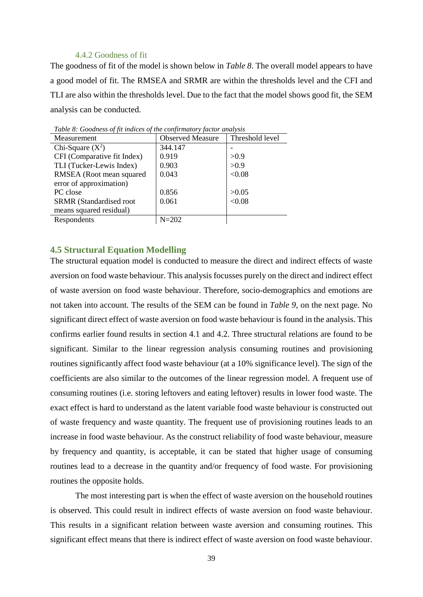#### 4.4.2 Goodness of fit

<span id="page-39-0"></span>The goodness of fit of the model is shown below in *[Table 8](#page-39-2)*. The overall model appears to have a good model of fit. The RMSEA and SRMR are within the thresholds level and the CFI and TLI are also within the thresholds level. Due to the fact that the model shows good fit, the SEM analysis can be conducted.

| Measurement                    | <b>Observed Measure</b> | Threshold level |
|--------------------------------|-------------------------|-----------------|
| Chi-Square $(X^2)$             | 344.147                 |                 |
| CFI (Comparative fit Index)    | 0.919                   | >0.9            |
| TLI (Tucker-Lewis Index)       | 0.903                   | >0.9            |
| RMSEA (Root mean squared       | 0.043                   | < 0.08          |
| error of approximation)        |                         |                 |
| PC close                       | 0.856                   | >0.05           |
| <b>SRMR</b> (Standardised root | 0.061                   | < 0.08          |
| means squared residual)        |                         |                 |
| Respondents                    | $N = 202$               |                 |

<span id="page-39-2"></span>*Table 8: Goodness of fit indices of the confirmatory factor analysis*

#### <span id="page-39-1"></span>**4.5 Structural Equation Modelling**

The structural equation model is conducted to measure the direct and indirect effects of waste aversion on food waste behaviour. This analysis focusses purely on the direct and indirect effect of waste aversion on food waste behaviour. Therefore, socio-demographics and emotions are not taken into account. The results of the SEM can be found in *[Table 9](#page-40-0)*, on the next page. No significant direct effect of waste aversion on food waste behaviour is found in the analysis. This confirms earlier found results in section 4.1 and 4.2. Three structural relations are found to be significant. Similar to the linear regression analysis consuming routines and provisioning routines significantly affect food waste behaviour (at a 10% significance level). The sign of the coefficients are also similar to the outcomes of the linear regression model. A frequent use of consuming routines (i.e. storing leftovers and eating leftover) results in lower food waste. The exact effect is hard to understand as the latent variable food waste behaviour is constructed out of waste frequency and waste quantity. The frequent use of provisioning routines leads to an increase in food waste behaviour. As the construct reliability of food waste behaviour, measure by frequency and quantity, is acceptable, it can be stated that higher usage of consuming routines lead to a decrease in the quantity and/or frequency of food waste. For provisioning routines the opposite holds.

The most interesting part is when the effect of waste aversion on the household routines is observed. This could result in indirect effects of waste aversion on food waste behaviour. This results in a significant relation between waste aversion and consuming routines. This significant effect means that there is indirect effect of waste aversion on food waste behaviour.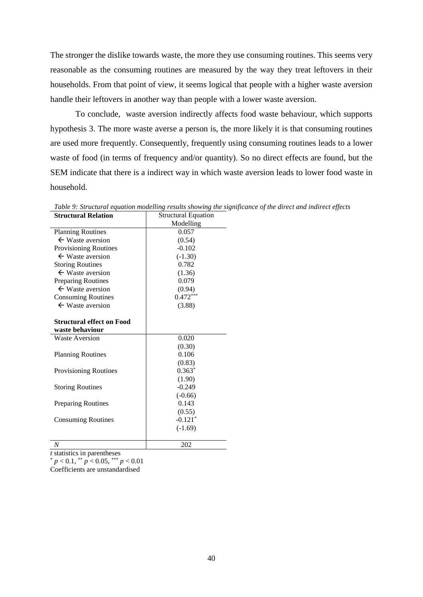The stronger the dislike towards waste, the more they use consuming routines. This seems very reasonable as the consuming routines are measured by the way they treat leftovers in their households. From that point of view, it seems logical that people with a higher waste aversion handle their leftovers in another way than people with a lower waste aversion.

To conclude, waste aversion indirectly affects food waste behaviour, which supports hypothesis 3. The more waste averse a person is, the more likely it is that consuming routines are used more frequently. Consequently, frequently using consuming routines leads to a lower waste of food (in terms of frequency and/or quantity). So no direct effects are found, but the SEM indicate that there is a indirect way in which waste aversion leads to lower food waste in household.

| <b>Structural Relation</b>       | <b>Structural Equation</b> |
|----------------------------------|----------------------------|
|                                  | Modelling                  |
| <b>Planning Routines</b>         | 0.057                      |
| $\leftarrow$ Waste aversion      | (0.54)                     |
| <b>Provisioning Routines</b>     | $-0.102$                   |
| $\leftarrow$ Waste aversion      | $(-1.30)$                  |
| <b>Storing Routines</b>          | 0.782                      |
| $\leftarrow$ Waste aversion      | (1.36)                     |
| Preparing Routines               | 0.079                      |
| $\leftarrow$ Waste aversion      | (0.94)                     |
| <b>Consuming Routines</b>        | $0.472***$                 |
| $\leftarrow$ Waste aversion      | (3.88)                     |
| <b>Structural effect on Food</b> |                            |
| waste behaviour                  |                            |
| <b>Waste Aversion</b>            | 0.020                      |
|                                  | (0.30)                     |
| <b>Planning Routines</b>         | 0.106                      |
|                                  | (0.83)                     |
| Provisioning Routines            | $0.363*$                   |
|                                  | (1.90)                     |
| <b>Storing Routines</b>          | $-0.249$                   |
|                                  | $(-0.66)$                  |
| <b>Preparing Routines</b>        | 0.143                      |
|                                  | (0.55)                     |
| <b>Consuming Routines</b>        | $-0.121*$                  |
|                                  | $(-1.69)$                  |
| N                                | 202                        |

<span id="page-40-0"></span>*Table 9: Structural equation modelling results showing the significance of the direct and indirect effects* 

*t* statistics in parentheses

 $p < 0.1$ ,  $\binom{p}{p} < 0.05$ ,  $\binom{p}{p} < 0.01$ 

Coefficients are unstandardised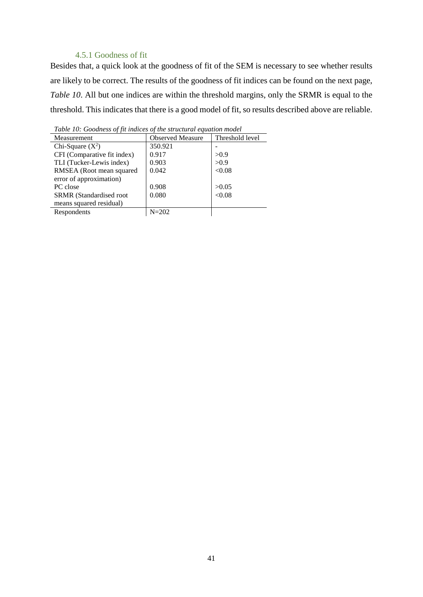#### 4.5.1 Goodness of fit

<span id="page-41-0"></span>Besides that, a quick look at the goodness of fit of the SEM is necessary to see whether results are likely to be correct. The results of the goodness of fit indices can be found on the next page, *[Table 10](#page-41-1)*. All but one indices are within the threshold margins, only the SRMR is equal to the threshold. This indicates that there is a good model of fit, so results described above are reliable.

| Measurement                 | <b>Observed Measure</b> | Threshold level |
|-----------------------------|-------------------------|-----------------|
| Chi-Square $(X^2)$          | 350.921                 |                 |
| CFI (Comparative fit index) | 0.917                   | >0.9            |
| TLI (Tucker-Lewis index)    | 0.903                   | >0.9            |
| RMSEA (Root mean squared    | 0.042                   | < 0.08          |
| error of approximation)     |                         |                 |
| PC close                    | 0.908                   | >0.05           |
| SRMR (Standardised root     | 0.080                   | < 0.08          |
| means squared residual)     |                         |                 |
| Respondents                 | $N = 202$               |                 |

<span id="page-41-1"></span>*Table 10: Goodness of fit indices of the structural equation model*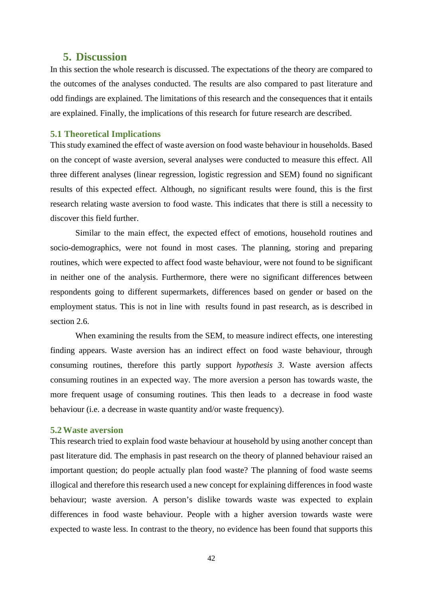# <span id="page-42-0"></span>**5. Discussion**

In this section the whole research is discussed. The expectations of the theory are compared to the outcomes of the analyses conducted. The results are also compared to past literature and odd findings are explained. The limitations of this research and the consequences that it entails are explained. Finally, the implications of this research for future research are described.

#### <span id="page-42-1"></span>**5.1 Theoretical Implications**

This study examined the effect of waste aversion on food waste behaviour in households. Based on the concept of waste aversion, several analyses were conducted to measure this effect. All three different analyses (linear regression, logistic regression and SEM) found no significant results of this expected effect. Although, no significant results were found, this is the first research relating waste aversion to food waste. This indicates that there is still a necessity to discover this field further.

Similar to the main effect, the expected effect of emotions, household routines and socio-demographics, were not found in most cases. The planning, storing and preparing routines, which were expected to affect food waste behaviour, were not found to be significant in neither one of the analysis. Furthermore, there were no significant differences between respondents going to different supermarkets, differences based on gender or based on the employment status. This is not in line with results found in past research, as is described in section 2.6.

When examining the results from the SEM, to measure indirect effects, one interesting finding appears. Waste aversion has an indirect effect on food waste behaviour, through consuming routines, therefore this partly support *hypothesis 3*. Waste aversion affects consuming routines in an expected way. The more aversion a person has towards waste, the more frequent usage of consuming routines. This then leads to a decrease in food waste behaviour (i.e. a decrease in waste quantity and/or waste frequency).

#### <span id="page-42-2"></span>**5.2Waste aversion**

This research tried to explain food waste behaviour at household by using another concept than past literature did. The emphasis in past research on the theory of planned behaviour raised an important question; do people actually plan food waste? The planning of food waste seems illogical and therefore this research used a new concept for explaining differences in food waste behaviour; waste aversion. A person's dislike towards waste was expected to explain differences in food waste behaviour. People with a higher aversion towards waste were expected to waste less. In contrast to the theory, no evidence has been found that supports this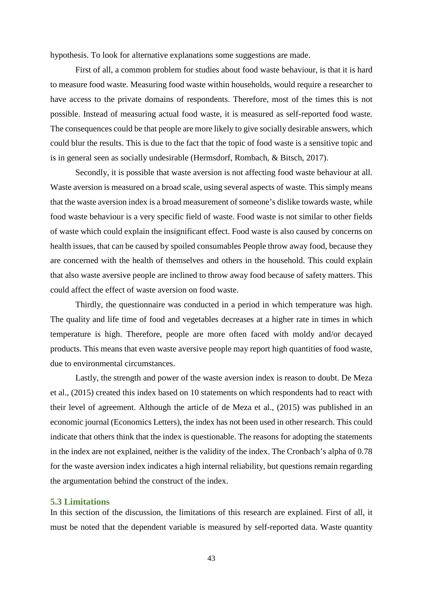hypothesis. To look for alternative explanations some suggestions are made.

First of all, a common problem for studies about food waste behaviour, is that it is hard to measure food waste. Measuring food waste within households, would require a researcher to have access to the private domains of respondents. Therefore, most of the times this is not possible. Instead of measuring actual food waste, it is measured as self-reported food waste. The consequences could be that people are more likely to give socially desirable answers, which could blur the results. This is due to the fact that the topic of food waste is a sensitive topic and is in general seen as socially undesirable (Hermsdorf, Rombach, & Bitsch, 2017).

Secondly, it is possible that waste aversion is not affecting food waste behaviour at all. Waste aversion is measured on a broad scale, using several aspects of waste. This simply means that the waste aversion index is a broad measurement of someone's dislike towards waste, while food waste behaviour is a very specific field of waste. Food waste is not similar to other fields of waste which could explain the insignificant effect. Food waste is also caused by concerns on health issues, that can be caused by spoiled consumables People throw away food, because they are concerned with the health of themselves and others in the household. This could explain that also waste aversive people are inclined to throw away food because of safety matters. This could affect the effect of waste aversion on food waste.

Thirdly, the questionnaire was conducted in a period in which temperature was high. The quality and life time of food and vegetables decreases at a higher rate in times in which temperature is high. Therefore, people are more often faced with moldy and/or decayed products. This means that even waste aversive people may report high quantities of food waste, due to environmental circumstances.

Lastly, the strength and power of the waste aversion index is reason to doubt. De Meza et al., (2015) created this index based on 10 statements on which respondents had to react with their level of agreement. Although the article of de Meza et al., (2015) was published in an economic journal (Economics Letters), the index has not been used in other research. This could indicate that others think that the index is questionable. The reasons for adopting the statements in the index are not explained, neither is the validity of the index. The Cronbach's alpha of 0.78 for the waste aversion index indicates a high internal reliability, but questions remain regarding the argumentation behind the construct of the index.

#### <span id="page-43-0"></span>**5.3 Limitations**

In this section of the discussion, the limitations of this research are explained. First of all, it must be noted that the dependent variable is measured by self-reported data. Waste quantity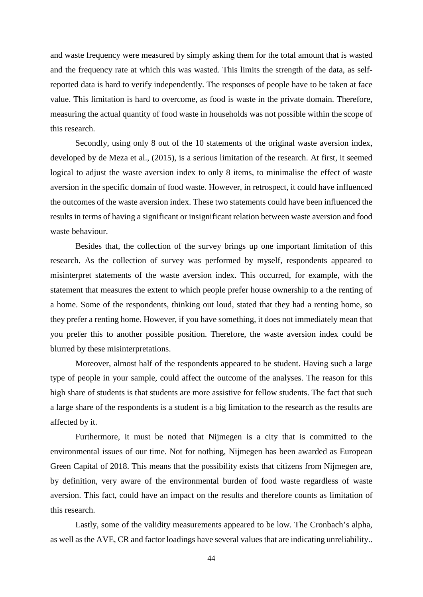and waste frequency were measured by simply asking them for the total amount that is wasted and the frequency rate at which this was wasted. This limits the strength of the data, as selfreported data is hard to verify independently. The responses of people have to be taken at face value. This limitation is hard to overcome, as food is waste in the private domain. Therefore, measuring the actual quantity of food waste in households was not possible within the scope of this research.

Secondly, using only 8 out of the 10 statements of the original waste aversion index, developed by de Meza et al., (2015), is a serious limitation of the research. At first, it seemed logical to adjust the waste aversion index to only 8 items, to minimalise the effect of waste aversion in the specific domain of food waste. However, in retrospect, it could have influenced the outcomes of the waste aversion index. These two statements could have been influenced the results in terms of having a significant or insignificant relation between waste aversion and food waste behaviour.

Besides that, the collection of the survey brings up one important limitation of this research. As the collection of survey was performed by myself, respondents appeared to misinterpret statements of the waste aversion index. This occurred, for example, with the statement that measures the extent to which people prefer house ownership to a the renting of a home. Some of the respondents, thinking out loud, stated that they had a renting home, so they prefer a renting home. However, if you have something, it does not immediately mean that you prefer this to another possible position. Therefore, the waste aversion index could be blurred by these misinterpretations.

Moreover, almost half of the respondents appeared to be student. Having such a large type of people in your sample, could affect the outcome of the analyses. The reason for this high share of students is that students are more assistive for fellow students. The fact that such a large share of the respondents is a student is a big limitation to the research as the results are affected by it.

Furthermore, it must be noted that Nijmegen is a city that is committed to the environmental issues of our time. Not for nothing, Nijmegen has been awarded as European Green Capital of 2018. This means that the possibility exists that citizens from Nijmegen are, by definition, very aware of the environmental burden of food waste regardless of waste aversion. This fact, could have an impact on the results and therefore counts as limitation of this research.

Lastly, some of the validity measurements appeared to be low. The Cronbach's alpha, as well as the AVE, CR and factor loadings have several values that are indicating unreliability..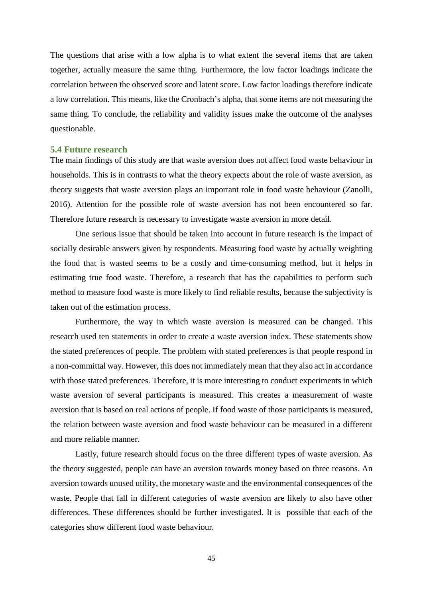The questions that arise with a low alpha is to what extent the several items that are taken together, actually measure the same thing. Furthermore, the low factor loadings indicate the correlation between the observed score and latent score. Low factor loadings therefore indicate a low correlation. This means, like the Cronbach's alpha, that some items are not measuring the same thing. To conclude, the reliability and validity issues make the outcome of the analyses questionable.

#### <span id="page-45-0"></span>**5.4 Future research**

The main findings of this study are that waste aversion does not affect food waste behaviour in households. This is in contrasts to what the theory expects about the role of waste aversion, as theory suggests that waste aversion plays an important role in food waste behaviour (Zanolli, 2016). Attention for the possible role of waste aversion has not been encountered so far. Therefore future research is necessary to investigate waste aversion in more detail.

One serious issue that should be taken into account in future research is the impact of socially desirable answers given by respondents. Measuring food waste by actually weighting the food that is wasted seems to be a costly and time-consuming method, but it helps in estimating true food waste. Therefore, a research that has the capabilities to perform such method to measure food waste is more likely to find reliable results, because the subjectivity is taken out of the estimation process.

Furthermore, the way in which waste aversion is measured can be changed. This research used ten statements in order to create a waste aversion index. These statements show the stated preferences of people. The problem with stated preferences is that people respond in a non-committal way. However, this does not immediately mean that they also act in accordance with those stated preferences. Therefore, it is more interesting to conduct experiments in which waste aversion of several participants is measured. This creates a measurement of waste aversion that is based on real actions of people. If food waste of those participants is measured, the relation between waste aversion and food waste behaviour can be measured in a different and more reliable manner.

Lastly, future research should focus on the three different types of waste aversion. As the theory suggested, people can have an aversion towards money based on three reasons. An aversion towards unused utility, the monetary waste and the environmental consequences of the waste. People that fall in different categories of waste aversion are likely to also have other differences. These differences should be further investigated. It is possible that each of the categories show different food waste behaviour.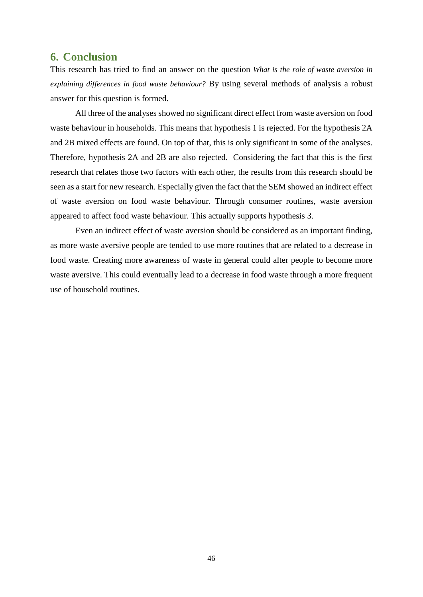# <span id="page-46-0"></span>**6. Conclusion**

This research has tried to find an answer on the question *What is the role of waste aversion in explaining differences in food waste behaviour?* By using several methods of analysis a robust answer for this question is formed.

All three of the analyses showed no significant direct effect from waste aversion on food waste behaviour in households. This means that hypothesis 1 is rejected. For the hypothesis 2A and 2B mixed effects are found. On top of that, this is only significant in some of the analyses. Therefore, hypothesis 2A and 2B are also rejected. Considering the fact that this is the first research that relates those two factors with each other, the results from this research should be seen as a start for new research. Especially given the fact that the SEM showed an indirect effect of waste aversion on food waste behaviour. Through consumer routines, waste aversion appeared to affect food waste behaviour. This actually supports hypothesis 3.

Even an indirect effect of waste aversion should be considered as an important finding, as more waste aversive people are tended to use more routines that are related to a decrease in food waste. Creating more awareness of waste in general could alter people to become more waste aversive. This could eventually lead to a decrease in food waste through a more frequent use of household routines.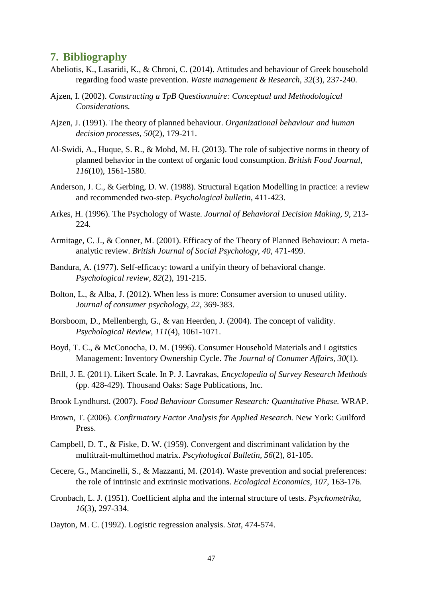# <span id="page-47-0"></span>**7. Bibliography**

- Abeliotis, K., Lasaridi, K., & Chroni, C. (2014). Attitudes and behaviour of Greek household regarding food waste prevention. *Waste management & Research, 32*(3), 237-240.
- Ajzen, I. (2002). *Constructing a TpB Questionnaire: Conceptual and Methodological Considerations.*
- Ajzen, J. (1991). The theory of planned behaviour. *Organizational behaviour and human decision processes, 50*(2), 179-211.
- Al-Swidi, A., Huque, S. R., & Mohd, M. H. (2013). The role of subjective norms in theory of planned behavior in the context of organic food consumption. *British Food Journal, 116*(10), 1561-1580.
- Anderson, J. C., & Gerbing, D. W. (1988). Structural Eqation Modelling in practice: a review and recommended two-step. *Psychological bulletin*, 411-423.
- Arkes, H. (1996). The Psychology of Waste. *Journal of Behavioral Decision Making, 9*, 213- 224.
- Armitage, C. J., & Conner, M. (2001). Efficacy of the Theory of Planned Behaviour: A metaanalytic review. *British Journal of Social Psychology, 40*, 471-499.
- Bandura, A. (1977). Self-efficacy: toward a unifyin theory of behavioral change. *Psychological review, 82*(2), 191-215.
- Bolton, L., & Alba, J. (2012). When less is more: Consumer aversion to unused utility. *Journal of consumer psychology, 22*, 369-383.
- Borsboom, D., Mellenbergh, G., & van Heerden, J. (2004). The concept of validity. *Psychological Review, 111*(4), 1061-1071.
- Boyd, T. C., & McConocha, D. M. (1996). Consumer Household Materials and Logitstics Management: Inventory Ownership Cycle. *The Journal of Conumer Affairs, 30*(1).
- Brill, J. E. (2011). Likert Scale. In P. J. Lavrakas, *Encyclopedia of Survey Research Methods* (pp. 428-429). Thousand Oaks: Sage Publications, Inc.
- Brook Lyndhurst. (2007). *Food Behaviour Consumer Research: Quantitative Phase.* WRAP.
- Brown, T. (2006). *Confirmatory Factor Analysis for Applied Research.* New York: Guilford Press.
- Campbell, D. T., & Fiske, D. W. (1959). Convergent and discriminant validation by the multitrait-multimethod matrix. *Pscyhological Bulletin, 56*(2), 81-105.
- Cecere, G., Mancinelli, S., & Mazzanti, M. (2014). Waste prevention and social preferences: the role of intrinsic and extrinsic motivations. *Ecological Economics, 107*, 163-176.
- Cronbach, L. J. (1951). Coefficient alpha and the internal structure of tests. *Psychometrika, 16*(3), 297-334.
- Dayton, M. C. (1992). Logistic regression analysis. *Stat*, 474-574.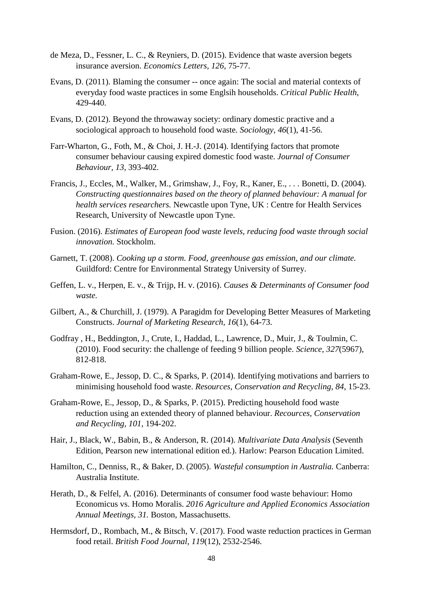- de Meza, D., Fessner, L. C., & Reyniers, D. (2015). Evidence that waste aversion begets insurance aversion. *Economics Letters, 126*, 75-77.
- Evans, D. (2011). Blaming the consumer -- once again: The social and material contexts of everyday food waste practices in some Englsih households. *Critical Public Health*, 429-440.
- Evans, D. (2012). Beyond the throwaway society: ordinary domestic practive and a sociological approach to household food waste. *Sociology, 46*(1), 41-56.
- Farr-Wharton, G., Foth, M., & Choi, J. H.-J. (2014). Identifying factors that promote consumer behaviour causing expired domestic food waste. *Journal of Consumer Behaviour, 13*, 393-402.
- Francis, J., Eccles, M., Walker, M., Grimshaw, J., Foy, R., Kaner, E., . . . Bonetti, D. (2004). *Constructing questionnaires based on the theory of planned behaviour: A manual for health services researchers.* Newcastle upon Tyne, UK : Centre for Health Services Research, University of Newcastle upon Tyne.
- Fusion. (2016). *Estimates of European food waste levels, reducing food waste through social innovation.* Stockholm.
- Garnett, T. (2008). *Cooking up a storm. Food, greenhouse gas emission, and our climate.* Guildford: Centre for Environmental Strategy University of Surrey.
- Geffen, L. v., Herpen, E. v., & Trijp, H. v. (2016). *Causes & Determinants of Consumer food waste.*
- Gilbert, A., & Churchill, J. (1979). A Paragidm for Developing Better Measures of Marketing Constructs. *Journal of Marketing Research, 16*(1), 64-73.
- Godfray , H., Beddington, J., Crute, I., Haddad, L., Lawrence, D., Muir, J., & Toulmin, C. (2010). Food security: the challenge of feeding 9 billion people. *Science, 327*(5967), 812-818.
- Graham-Rowe, E., Jessop, D. C., & Sparks, P. (2014). Identifying motivations and barriers to minimising household food waste. *Resources, Conservation and Recycling, 84*, 15-23.
- Graham-Rowe, E., Jessop, D., & Sparks, P. (2015). Predicting household food waste reduction using an extended theory of planned behaviour. *Recources, Conservation and Recycling, 101*, 194-202.
- Hair, J., Black, W., Babin, B., & Anderson, R. (2014). *Multivariate Data Analysis* (Seventh Edition, Pearson new international edition ed.). Harlow: Pearson Education Limited.
- Hamilton, C., Denniss, R., & Baker, D. (2005). *Wasteful consumption in Australia.* Canberra: Australia Institute.
- Herath, D., & Felfel, A. (2016). Determinants of consumer food waste behaviour: Homo Economicus vs. Homo Moralis. *2016 Agriculture and Applied Economics Association Annual Meetings*, *31.* Boston, Massachusetts.
- Hermsdorf, D., Rombach, M., & Bitsch, V. (2017). Food waste reduction practices in German food retail. *British Food Journal, 119*(12), 2532-2546.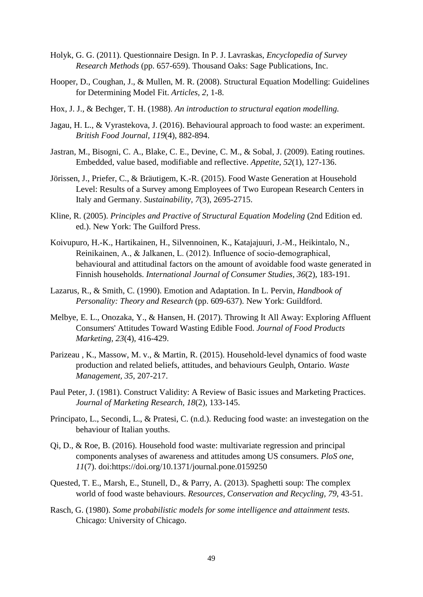- Holyk, G. G. (2011). Questionnaire Design. In P. J. Lavraskas, *Encyclopedia of Survey Research Methods* (pp. 657-659). Thousand Oaks: Sage Publications, Inc.
- Hooper, D., Coughan, J., & Mullen, M. R. (2008). Structural Equation Modelling: Guidelines for Determining Model Fit. *Articles, 2*, 1-8.
- Hox, J. J., & Bechger, T. H. (1988). *An introduction to structural eqation modelling.*
- Jagau, H. L., & Vyrastekova, J. (2016). Behavioural approach to food waste: an experiment. *British Food Journal, 119*(4), 882-894.
- Jastran, M., Bisogni, C. A., Blake, C. E., Devine, C. M., & Sobal, J. (2009). Eating routines. Embedded, value based, modifiable and reflective. *Appetite, 52*(1), 127-136.
- Jörissen, J., Priefer, C., & Bräutigem, K.-R. (2015). Food Waste Generation at Household Level: Results of a Survey among Employees of Two European Research Centers in Italy and Germany. *Sustainability, 7*(3), 2695-2715.
- Kline, R. (2005). *Principles and Practive of Structural Equation Modeling* (2nd Edition ed. ed.). New York: The Guilford Press.
- Koivupuro, H.-K., Hartikainen, H., Silvennoinen, K., Katajajuuri, J.-M., Heikintalo, N., Reinikainen, A., & Jalkanen, L. (2012). Influence of socio‐demographical, behavioural and attitudinal factors on the amount of avoidable food waste generated in Finnish households. *International Journal of Consumer Studies, 36*(2), 183-191.
- Lazarus, R., & Smith, C. (1990). Emotion and Adaptation. In L. Pervin, *Handbook of Personality: Theory and Research* (pp. 609-637). New York: Guildford.
- Melbye, E. L., Onozaka, Y., & Hansen, H. (2017). Throwing It All Away: Exploring Affluent Consumers' Attitudes Toward Wasting Edible Food. *Journal of Food Products Marketing, 23*(4), 416-429.
- Parizeau , K., Massow, M. v., & Martin, R. (2015). Household-level dynamics of food waste production and related beliefs, attitudes, and behaviours Geulph, Ontario. *Waste Management, 35*, 207-217.
- Paul Peter, J. (1981). Construct Validity: A Review of Basic issues and Marketing Practices. *Journal of Marketing Research, 18*(2), 133-145.
- Principato, L., Secondi, L., & Pratesi, C. (n.d.). Reducing food waste: an investegation on the behaviour of Italian youths.
- Qi, D., & Roe, B. (2016). Household food waste: multivariate regression and principal components analyses of awareness and attitudes among US consumers. *PloS one, 11*(7). doi:https://doi.org/10.1371/journal.pone.0159250
- Quested, T. E., Marsh, E., Stunell, D., & Parry, A. (2013). Spaghetti soup: The complex world of food waste behaviours. *Resources, Conservation and Recycling, 79*, 43-51.
- Rasch, G. (1980). *Some probabilistic models for some intelligence and attainment tests.* Chicago: University of Chicago.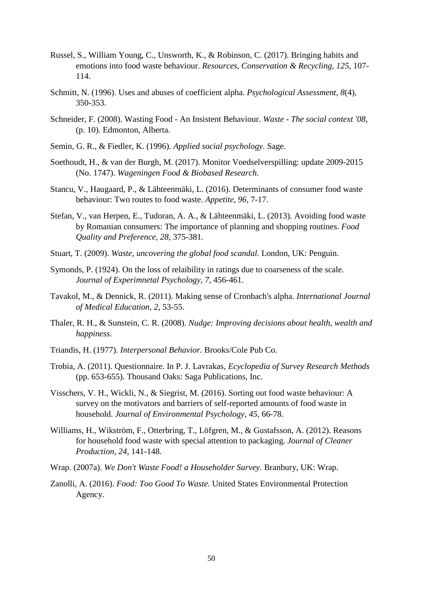- Russel, S., William Young, C., Unsworth, K., & Robinson, C. (2017). Bringing habits and emotions into food waste behaviour. *Resources, Conservation & Recycling, 125*, 107- 114.
- Schmitt, N. (1996). Uses and abuses of coefficient alpha. *Psychological Assessment, 8*(4), 350-353.
- Schneider, F. (2008). Wasting Food An Insistent Behaviour. *Waste - The social context '08*, (p. 10). Edmonton, Alberta.
- Semin, G. R., & Fiedler, K. (1996). *Applied social psychology.* Sage.
- Soethoudt, H., & van der Burgh, M. (2017). Monitor Voedselverspilling: update 2009-2015 (No. 1747). *Wageningen Food & Biobased Research*.
- Stancu, V., Haugaard, P., & Lähteenmäki, L. (2016). Determinants of consumer food waste behaviour: Two routes to food waste. *Appetite, 96*, 7-17.
- Stefan, V., van Herpen, E., Tudoran, A. A., & Lähteenmäki, L. (2013). Avoiding food waste by Romanian consumers: The importance of planning and shopping routines. *Food Quality and Preference, 28*, 375-381.
- Stuart, T. (2009). *Waste, uncovering the global food scandal.* London, UK: Penguin.
- Symonds, P. (1924). On the loss of relaibility in ratings due to coarseness of the scale. *Journal of Experimnetal Psychology, 7*, 456-461.
- Tavakol, M., & Dennick, R. (2011). Making sense of Cronbach's alpha. *International Journal of Medical Education, 2*, 53-55.
- Thaler, R. H., & Sunstein, C. R. (2008). *Nudge: Improving decisions about health, wealth and happiness.*
- Triandis, H. (1977). *Interpersonal Behavior.* Brooks/Cole Pub Co.
- Trobia, A. (2011). Questionnaire. In P. J. Lavrakas, *Ecyclopedia of Survey Research Methods* (pp. 653-655). Thousand Oaks: Saga Publications, Inc.
- Visschers, V. H., Wickli, N., & Siegrist, M. (2016). Sorting out food waste behaviour: A survey on the motivators and barriers of self-reported amounts of food waste in household. *Journal of Environmental Psychology, 45*, 66-78.
- Williams, H., Wikström, F., Otterbring, T., Löfgren, M., & Gustafsson, A. (2012). Reasons for household food waste with special attention to packaging. *Journal of Cleaner Production, 24*, 141-148.
- Wrap. (2007a). *We Don't Waste Food! a Householder Survey.* Branbury, UK: Wrap.
- Zanolli, A. (2016). *Food: Too Good To Waste.* United States Environmental Protection Agency.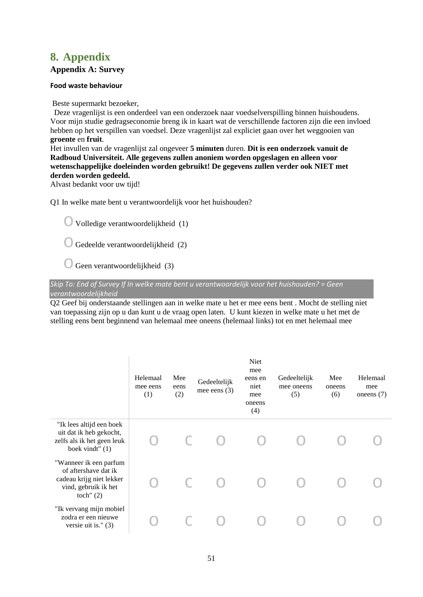# <span id="page-51-0"></span>**8. Appendix**

#### **Appendix A: Survey**

#### **Food waste behaviour**

Beste supermarkt bezoeker,

 Deze vragenlijst is een onderdeel van een onderzoek naar voedselverspilling binnen huishoudens. Voor mijn studie gedragseconomie breng ik in kaart wat de verschillende factoren zijn die een invloed hebben op het verspillen van voedsel. Deze vragenlijst zal expliciet gaan over het weggooien van **groente** en **fruit**.

Het invullen van de vragenlijst zal ongeveer **5 minuten** duren. **Dit is een onderzoek vanuit de Radboud Universiteit. Alle gegevens zullen anoniem worden opgeslagen en alleen voor wetenschappelijke doeleinden worden gebruikt! De gegevens zullen verder ook NIET met derden worden gedeeld.**

Alvast bedankt voor uw tijd!

Q1 In welke mate bent u verantwoordelijk voor het huishouden?

 $\bigcirc$  Volledige verantwoordelijkheid (1)

 $\bigcirc$  Gedeelde verantwoordelijkheid (2)

 $\bigcirc$  Geen verantwoordelijkheid (3)

*Skip To: End of Survey If In welke mate bent u verantwoordelijk voor het huishouden? = Geen verantwoordelijkheid*

Q2 Geef bij onderstaande stellingen aan in welke mate u het er mee eens bent . Mocht de stelling niet van toepassing zijn op u dan kunt u de vraag open laten. U kunt kiezen in welke mate u het met de stelling eens bent beginnend van helemaal mee oneens (helemaal links) tot en met helemaal mee

|                                                                                                                   | Helemaal<br>mee eens<br>(1) | Mee<br>eens<br>(2) | Gedeeltelijk<br>mee eens $(3)$ | Niet<br>mee<br>eens en<br>niet<br>mee<br>oneens<br>(4) | Gedeeltelijk<br>mee oneens<br>(5) | Mee<br>oneens<br>(6) | Helemaal<br>mee<br>one ens $(7)$ |
|-------------------------------------------------------------------------------------------------------------------|-----------------------------|--------------------|--------------------------------|--------------------------------------------------------|-----------------------------------|----------------------|----------------------------------|
| "Ik lees altijd een boek<br>uit dat ik heb gekocht,<br>zelfs als ik het geen leuk<br>boek vindt" (1)              |                             |                    |                                |                                                        |                                   |                      |                                  |
| "Wanneer ik een parfum<br>of aftershave dat ik<br>cadeau krijg niet lekker<br>vind, gebruik ik het<br>toch" $(2)$ |                             |                    |                                |                                                        |                                   |                      |                                  |
| "Ik vervang mijn mobiel<br>zodra er een nieuwe<br>versie uit is." $(3)$                                           |                             |                    |                                |                                                        |                                   |                      |                                  |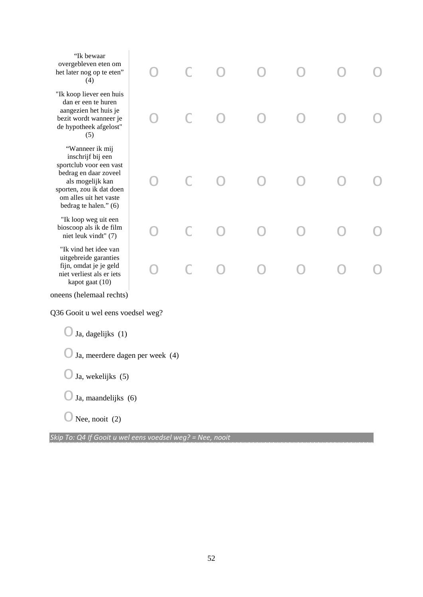| "Ik bewaar<br>overgebleven eten om<br>het later nog op te eten"<br>(4)                                                                                                                      |  |  |  |  |
|---------------------------------------------------------------------------------------------------------------------------------------------------------------------------------------------|--|--|--|--|
| "Ik koop liever een huis<br>dan er een te huren<br>aangezien het huis je<br>bezit wordt wanneer je<br>de hypotheek afgelost"<br>(5)                                                         |  |  |  |  |
| "Wanneer ik mij<br>inschrijf bij een<br>sportclub voor een vast<br>bedrag en daar zoveel<br>als mogelijk kan<br>sporten, zou ik dat doen<br>om alles uit het vaste<br>bedrag te halen." (6) |  |  |  |  |
| "Ik loop weg uit een<br>bioscoop als ik de film<br>niet leuk vindt" (7)                                                                                                                     |  |  |  |  |
| "Ik vind het idee van<br>uitgebreide garanties<br>fijn, omdat je je geld<br>niet verliest als er iets<br>kapot gaat (10)                                                                    |  |  |  |  |
| oneens (helemaal rechts)                                                                                                                                                                    |  |  |  |  |
| Q36 Gooit u wel eens voedsel weg?                                                                                                                                                           |  |  |  |  |
| Ja, dagelijks (1)                                                                                                                                                                           |  |  |  |  |
| Ja, meerdere dagen per week (4)                                                                                                                                                             |  |  |  |  |
| Ja, wekelijks (5)                                                                                                                                                                           |  |  |  |  |
| Ja, maandelijks (6)                                                                                                                                                                         |  |  |  |  |
| Nee, nooit (2)                                                                                                                                                                              |  |  |  |  |

*Skip To: Q4 If Gooit u wel eens voedsel weg? = Nee, nooit*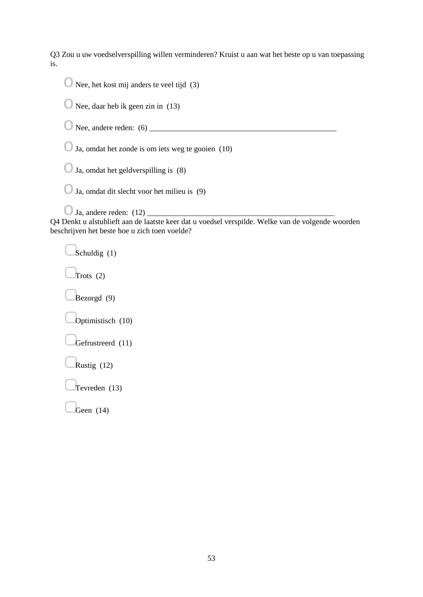Q3 Zou u uw voedselverspilling willen verminderen? Kruist u aan wat het beste op u van toepassing is.

| Nee, het kost mij anders te veel tijd (3)                                                                                                          |
|----------------------------------------------------------------------------------------------------------------------------------------------------|
| Nee, daar heb ik geen zin in (13)                                                                                                                  |
|                                                                                                                                                    |
| Ja, omdat het zonde is om iets weg te gooien (10)                                                                                                  |
| Ja, omdat het geldverspilling is (8)                                                                                                               |
| Ja, omdat dit slecht voor het milieu is (9)                                                                                                        |
| Q4 Denkt u alstublieft aan de laatste keer dat u voedsel verspilde. Welke van de volgende woorden<br>beschrijven het beste hoe u zich toen voelde? |
| Schuldig (1)                                                                                                                                       |
| Trots $(2)$                                                                                                                                        |
| Bezorgd (9)                                                                                                                                        |
| Optimistisch (10)                                                                                                                                  |
| Gefrustreerd (11)                                                                                                                                  |
| Rustig (12)                                                                                                                                        |
| Tevreden $(13)$                                                                                                                                    |

 $Geen(14)$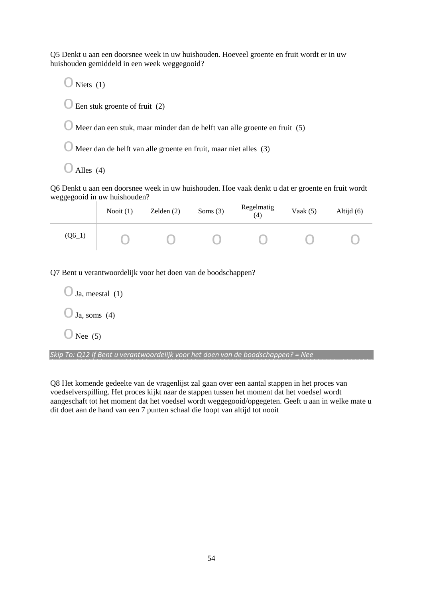Q5 Denkt u aan een doorsnee week in uw huishouden. Hoeveel groente en fruit wordt er in uw huishouden gemiddeld in een week weggegooid?

 $\bigcirc$  Niets (1)  $\bigcirc$  Een stuk groente of fruit (2)

 $\bigcirc$  Meer dan een stuk, maar minder dan de helft van alle groente en fruit (5)

o Meer dan de helft van alle groente en fruit, maar niet alles (3)

 $O$  Alles (4)

Q6 Denkt u aan een doorsnee week in uw huishouden. Hoe vaak denkt u dat er groente en fruit wordt weggegooid in uw huishouden?

|          | Nooit $(1)$ | Zelden $(2)$ | Soms $(3)$ | Regelmatig<br>(4) | Vaak $(5)$ | Altijd $(6)$ |
|----------|-------------|--------------|------------|-------------------|------------|--------------|
| $(Q6_1)$ |             |              |            |                   |            |              |

Q7 Bent u verantwoordelijk voor het doen van de boodschappen?

| $\bigcup$ Ja, meestal (1) |
|---------------------------|
| $\bigcup$ Ja, soms (4)    |
| $\cup$ Nee (5)            |

*Skip To: Q12 If Bent u verantwoordelijk voor het doen van de boodschappen? = Nee*

Q8 Het komende gedeelte van de vragenlijst zal gaan over een aantal stappen in het proces van voedselverspilling. Het proces kijkt naar de stappen tussen het moment dat het voedsel wordt aangeschaft tot het moment dat het voedsel wordt weggegooid/opgegeten. Geeft u aan in welke mate u dit doet aan de hand van een 7 punten schaal die loopt van altijd tot nooit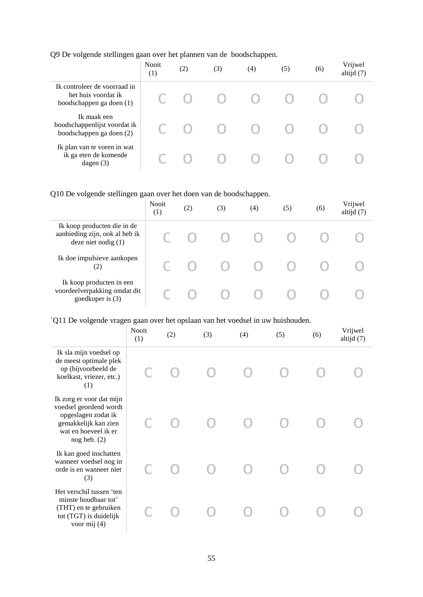Q9 De volgende stellingen gaan over het plannen van de boodschappen.

|                                                                                 | <b>Nooit</b><br>(1) | (2) | (3) | (4) | (5) | (6) | Vrijwel<br>altijd (7) |
|---------------------------------------------------------------------------------|---------------------|-----|-----|-----|-----|-----|-----------------------|
| Ik controleer de voorraad in<br>het huis voordat ik<br>boodschappen ga doen (1) |                     |     |     |     |     |     |                       |
| Ik maak een<br>boodschappenlijst voordat ik<br>boodschappen ga doen (2)         |                     |     |     |     |     |     |                       |
| Ik plan van te voren in wat<br>ik ga eten de komende<br>dagen $(3)$             |                     |     |     |     |     |     |                       |

# Q10 De volgende stellingen gaan over het doen van de boodschappen.

|                                                                                        | <b>Nooit</b><br>(1) | (2) | (3) | (4) | (5) | (6) | Vrijwel<br>altijd (7) |
|----------------------------------------------------------------------------------------|---------------------|-----|-----|-----|-----|-----|-----------------------|
| Ik koop producten die in de<br>aanbieding zijn, ook al heb ik<br>deze niet nodig $(1)$ |                     |     |     |     |     |     |                       |
| Ik doe impulsieve aankopen<br>(2)                                                      |                     |     |     |     |     |     |                       |
| Ik koop producten in een<br>voordeelverpakking omdat dit<br>goedkoper is (3)           |                     |     |     |     |     |     |                       |

# `Q11 De volgende vragen gaan over het opslaan van het voedsel in uw huishouden.

|                                                                                                                                               | <b>Nooit</b><br>(1) | (2) | (3) | (4) | (5) | (6) | Vrijwel<br>altijd (7) |
|-----------------------------------------------------------------------------------------------------------------------------------------------|---------------------|-----|-----|-----|-----|-----|-----------------------|
| Ik sla mijn voedsel op<br>de meest optimale plek<br>op (bijvoorbeeld de<br>koelkast, vriezer, etc.)<br>(1)                                    |                     |     |     |     |     |     |                       |
| Ik zorg er voor dat mijn<br>voedsel geordend wordt<br>opgeslagen zodat ik<br>gemakkelijk kan zien<br>wat en hoeveel ik er<br>$nog$ heb. $(2)$ |                     |     |     |     |     |     |                       |
| Ik kan goed inschatten<br>wanneer voedsel nog in<br>orde is en wanneer niet<br>(3)                                                            |                     |     |     |     |     |     |                       |
| Het verschil tussen 'ten<br>minste houdbaar tot'<br>(THT) en te gebruiken<br>tot (TGT) is duidelijk<br>voor mij (4)                           |                     |     |     |     |     |     |                       |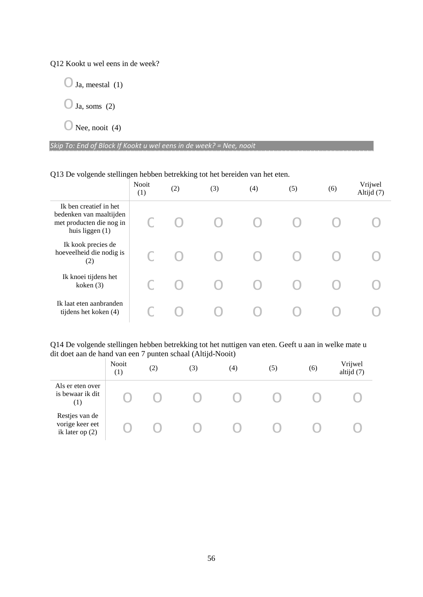Q12 Kookt u wel eens in de week?

 $\bigcirc$  Ja, meestal (1)

 $\bigcirc$  Ja, soms (2)

 $\bigcirc$  Nee, nooit (4)

*Skip To: End of Block If Kookt u wel eens in de week? = Nee, nooit*

#### Q13 De volgende stellingen hebben betrekking tot het bereiden van het eten.

|                                                                                                    | <b>Nooit</b><br>(1) | (2) | (3) | (4) | (5) | (6) | Vrijwel<br>Altijd (7) |
|----------------------------------------------------------------------------------------------------|---------------------|-----|-----|-----|-----|-----|-----------------------|
| Ik ben creatief in het<br>bedenken van maaltijden<br>met producten die nog in<br>huis liggen $(1)$ |                     |     |     |     |     |     |                       |
| Ik kook precies de<br>hoeveelheid die nodig is<br>(2)                                              |                     |     |     |     |     |     |                       |
| Ik knoei tijdens het<br>koken (3)                                                                  |                     |     |     |     |     |     |                       |
| Ik laat eten aanbranden<br>tijdens het koken (4)                                                   |                     |     |     |     |     |     |                       |

Q14 De volgende stellingen hebben betrekking tot het nuttigen van eten. Geeft u aan in welke mate u dit doet aan de hand van een 7 punten schaal (Altijd-Nooit)

|                                                        | Nooit<br>(1) | (2) | (3) | (4) | (5) | (6) | Vrijwel<br>altijd (7) |
|--------------------------------------------------------|--------------|-----|-----|-----|-----|-----|-----------------------|
| Als er eten over<br>is bewaar ik dit<br>(1)            |              |     |     |     |     |     |                       |
| Restjes van de<br>vorige keer eet<br>ik later op $(2)$ |              |     |     |     |     |     |                       |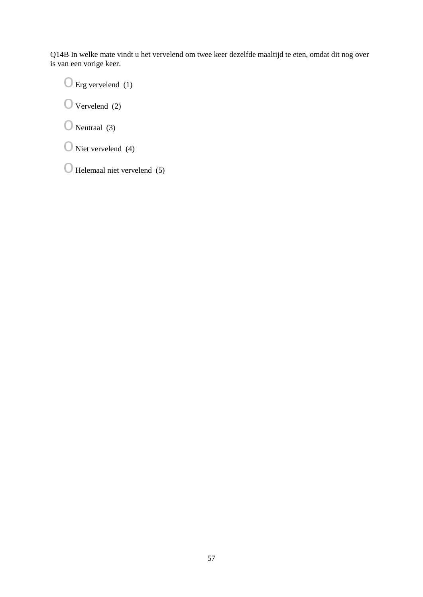Q14B In welke mate vindt u het vervelend om twee keer dezelfde maaltijd te eten, omdat dit nog over is van een vorige keer.

 $\bigcirc$  Erg vervelend (1)

 $\bigcirc$  Vervelend (2)

 $\bigcirc$  Neutraal (3)

 $\bigcirc$  Niet vervelend (4)

 $\bigcirc$  Helemaal niet vervelend (5)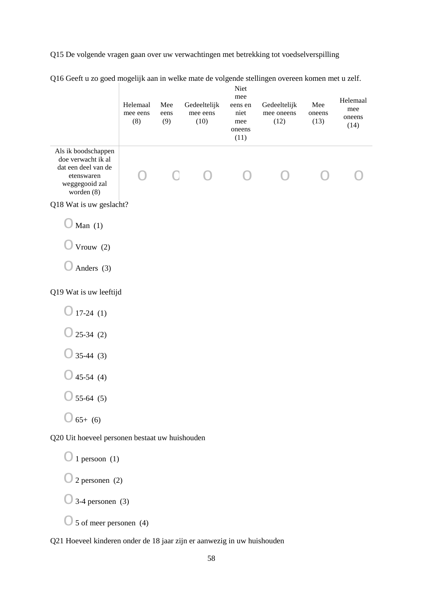Q15 De volgende vragen gaan over uw verwachtingen met betrekking tot voedselverspilling

|                                                                                                                | Helemaal<br>mee eens<br>(8) | Mee<br>eens<br>(9) | Gedeeltelijk<br>mee eens<br>(10) | Niet<br>mee<br>eens en<br>niet<br>mee<br>oneens<br>(11) | Gedeeltelijk<br>mee oneens<br>(12) | Mee<br>oneens<br>(13) | Helemaal<br>mee<br>oneens<br>(14) |
|----------------------------------------------------------------------------------------------------------------|-----------------------------|--------------------|----------------------------------|---------------------------------------------------------|------------------------------------|-----------------------|-----------------------------------|
| Als ik boodschappen<br>doe verwacht ik al<br>dat een deel van de<br>etenswaren<br>weggegooid zal<br>worden (8) |                             | Ξ                  |                                  |                                                         |                                    |                       |                                   |
| Q18 Wat is uw geslacht?                                                                                        |                             |                    |                                  |                                                         |                                    |                       |                                   |
| Man $(1)$                                                                                                      |                             |                    |                                  |                                                         |                                    |                       |                                   |
| Vrouw (2)                                                                                                      |                             |                    |                                  |                                                         |                                    |                       |                                   |
| Anders (3)                                                                                                     |                             |                    |                                  |                                                         |                                    |                       |                                   |
| Q19 Wat is uw leeftijd                                                                                         |                             |                    |                                  |                                                         |                                    |                       |                                   |
| $17-24(1)$                                                                                                     |                             |                    |                                  |                                                         |                                    |                       |                                   |
| $25-34(2)$                                                                                                     |                             |                    |                                  |                                                         |                                    |                       |                                   |
| $35-44(3)$                                                                                                     |                             |                    |                                  |                                                         |                                    |                       |                                   |
| $45-54(4)$                                                                                                     |                             |                    |                                  |                                                         |                                    |                       |                                   |
| $55-64(5)$                                                                                                     |                             |                    |                                  |                                                         |                                    |                       |                                   |
| $65+ (6)$                                                                                                      |                             |                    |                                  |                                                         |                                    |                       |                                   |
| Q20 Uit hoeveel personen bestaat uw huishouden                                                                 |                             |                    |                                  |                                                         |                                    |                       |                                   |
| $1$ persoon $(1)$                                                                                              |                             |                    |                                  |                                                         |                                    |                       |                                   |
| $2$ personen $(2)$                                                                                             |                             |                    |                                  |                                                         |                                    |                       |                                   |
| $3-4$ personen $(3)$                                                                                           |                             |                    |                                  |                                                         |                                    |                       |                                   |
| 5 of meer personen (4)                                                                                         |                             |                    |                                  |                                                         |                                    |                       |                                   |

Q16 Geeft u zo goed mogelijk aan in welke mate de volgende stellingen overeen komen met u zelf.

Q21 Hoeveel kinderen onder de 18 jaar zijn er aanwezig in uw huishouden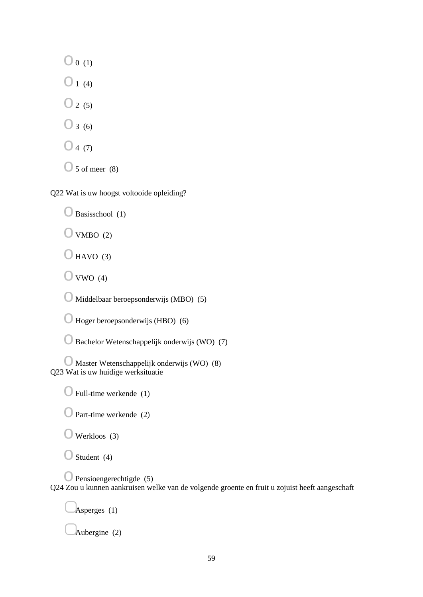$\bigcirc$  0 (1)

 $\bigcirc$  1 (4)

 $\bigcirc$  2 (5)

 $\bigcirc$  3 (6)

 $\bigcirc$  4 (7)

 $\bigcirc$  5 of meer (8)

Q22 Wat is uw hoogst voltooide opleiding?

 $\bigcirc$  Basisschool (1)

 $\bigcirc$  VMBO (2)

 $O$  HAVO (3)

 $\bigcirc$  VWO (4)

 $\bigcirc$  Middelbaar beroepsonderwijs (MBO) (5)

 $\bigcirc$  Hoger beroepsonderwijs (HBO) (6)

 $\bigcirc$  Bachelor Wetenschappelijk onderwijs (WO) (7)

 $\bigcirc$  Master Wetenschappelijk onderwijs (WO) (8) Q23 Wat is uw huidige werksituatie

 $\bigcirc$  Full-time werkende (1)

 $\bigcirc$  Part-time werkende (2)

 $\bigcirc$  Werkloos (3)

 $\bigcirc$  Student (4)

 $\bigcirc$  Pensioengerechtigde (5) Q24 Zou u kunnen aankruisen welke van de volgende groente en fruit u zojuist heeft aangeschaft

Asperges  $(1)$ 

▢Aubergine (2)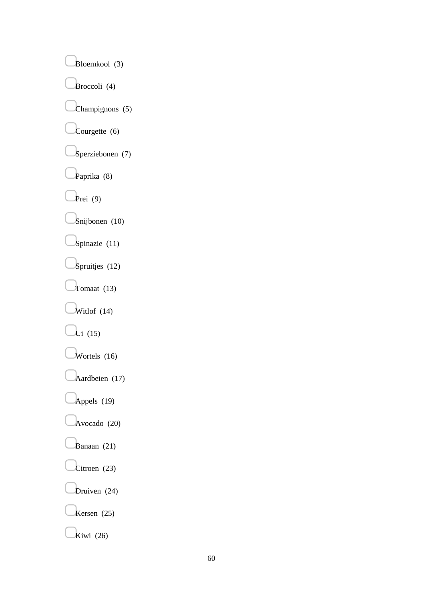▢Bloemkool (3) Broccoli (4) ▢Champignons (5)  $\text{Conrgette } (6)$ ▢Sperziebonen (7) Paprika (8) ▢Prei (9) ▢Snijbonen (10) Spinazie (11) Spruitjes (12) Tomaat  $(13)$  $\frac{1}{14}$  $\overline{\mathrm{U}}$ i (15)  $W$ ortels (16) ▢Aardbeien (17) ▢Appels (19) ▢Avocado (20) Banaan (21) Citroen (23) Druiven (24) ▢Kersen (25)  $k$ iwi (26)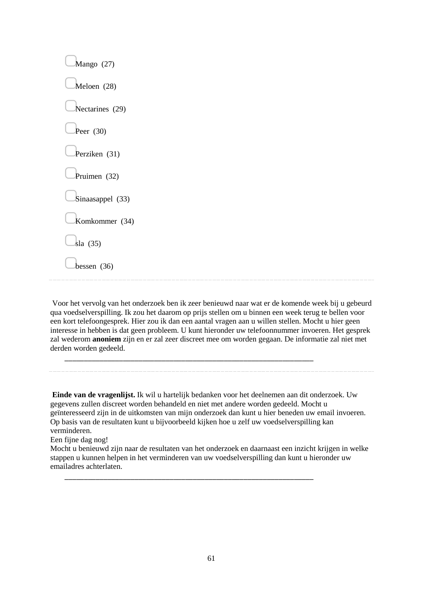| Mango (27)       |  |  |
|------------------|--|--|
| Meloen (28)      |  |  |
| Nectarines (29)  |  |  |
| Peer $(30)$      |  |  |
| Perziken (31)    |  |  |
| Pruimen (32)     |  |  |
| Sinaasappel (33) |  |  |
| Komkommer (34)   |  |  |
| sla(35)          |  |  |
| bessen $(36)$    |  |  |
|                  |  |  |

Voor het vervolg van het onderzoek ben ik zeer benieuwd naar wat er de komende week bij u gebeurd qua voedselverspilling. Ik zou het daarom op prijs stellen om u binnen een week terug te bellen voor een kort telefoongesprek. Hier zou ik dan een aantal vragen aan u willen stellen. Mocht u hier geen interesse in hebben is dat geen probleem. U kunt hieronder uw telefoonnummer invoeren. Het gesprek zal wederom **anoniem** zijn en er zal zeer discreet mee om worden gegaan. De informatie zal niet met derden worden gedeeld.

\_\_\_\_\_\_\_\_\_\_\_\_\_\_\_\_\_\_\_\_\_\_\_\_\_\_\_\_\_\_\_\_\_\_\_\_\_\_\_\_\_\_\_\_\_\_\_\_\_\_\_\_\_\_\_\_\_\_\_\_\_\_\_\_

\_\_\_\_\_\_\_\_\_\_\_\_\_\_\_\_\_\_\_\_\_\_\_\_\_\_\_\_\_\_\_\_\_\_\_\_\_\_\_\_\_\_\_\_\_\_\_\_\_\_\_\_\_\_\_\_\_\_\_\_\_\_\_\_

**Einde van de vragenlijst.** Ik wil u hartelijk bedanken voor het deelnemen aan dit onderzoek. Uw gegevens zullen discreet worden behandeld en niet met andere worden gedeeld. Mocht u geïnteresseerd zijn in de uitkomsten van mijn onderzoek dan kunt u hier beneden uw email invoeren. Op basis van de resultaten kunt u bijvoorbeeld kijken hoe u zelf uw voedselverspilling kan verminderen.

Een fijne dag nog!

Mocht u benieuwd zijn naar de resultaten van het onderzoek en daarnaast een inzicht krijgen in welke stappen u kunnen helpen in het verminderen van uw voedselverspilling dan kunt u hieronder uw emailadres achterlaten.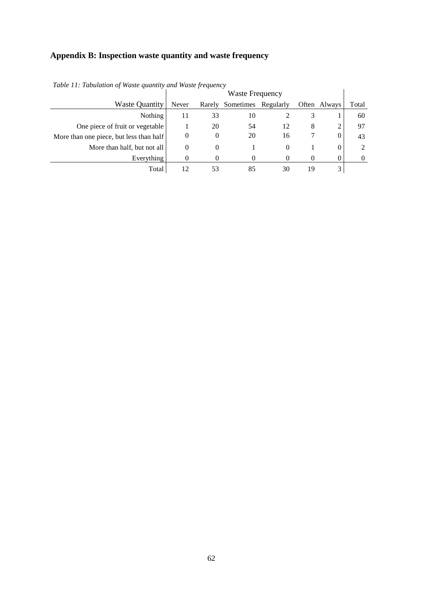# **Appendix B: Inspection waste quantity and waste frequency**

|                                         | <b>Waste Frequency</b> |          |                     |          |    |              |                |
|-----------------------------------------|------------------------|----------|---------------------|----------|----|--------------|----------------|
| <b>Waste Quantity</b>                   | Never                  | Rarely   | Sometimes Regularly |          |    | Often Always | Total          |
| Nothing                                 | 11                     | 33       | 10                  |          | 3  |              | 60             |
| One piece of fruit or vegetable         |                        | 20       | 54                  | 12       | 8  | 2            | 97             |
| More than one piece, but less than half | 0                      | $\theta$ | 20                  | 16       |    | 0            | 43             |
| More than half, but not all             | 0                      | $\theta$ |                     | $\Omega$ |    | 0            | 2              |
| Everything                              |                        |          |                     |          |    | 0            | $\overline{0}$ |
| Total                                   | 12                     |          | 85                  | 30       | 19 | 3            |                |

*Table 11: Tabulation of Waste quantity and Waste frequency*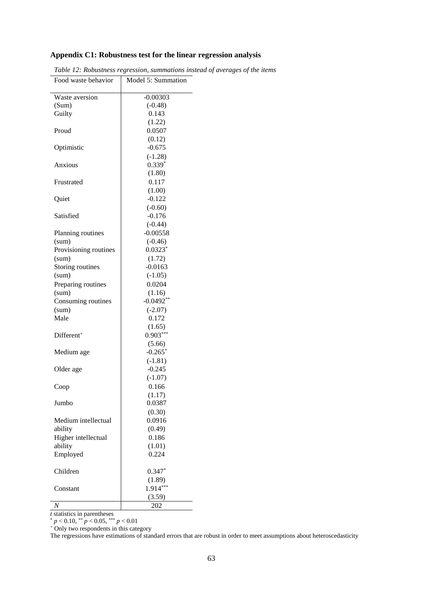# **Appendix C1: Robustness test for the linear regression analysis**

| Food waste behavior   | Model 5: Summation |
|-----------------------|--------------------|
| Waste aversion        | $-0.00303$         |
| (Sum)                 | $(-0.48)$          |
| Guilty                | 0.143              |
|                       | (1.22)             |
| Proud                 | 0.0507             |
|                       | (0.12)             |
| Optimistic            | $-0.675$           |
|                       | $(-1.28)$          |
| Anxious               | $0.339*$           |
|                       | (1.80)             |
| Frustrated            | 0.117              |
|                       | (1.00)             |
| Quiet                 | $-0.122$           |
|                       | $(-0.60)$          |
| Satisfied             | $-0.176$           |
|                       | $(-0.44)$          |
| Planning routines     | $-0.00558$         |
| (sum)                 | $(-0.46)$          |
| Provisioning routines | $0.0323*$          |
| (sum)                 | (1.72)             |
| Storing routines      | $-0.0163$          |
| (sum)                 | $(-1.05)$          |
| Preparing routines    | 0.0204             |
| (sum)                 | (1.16)             |
| Consuming routines    | $-0.0492**$        |
| (sum)                 | $(-2.07)$          |
| Male                  | 0.172              |
|                       | (1.65)             |
| $Different+$          | $0.903***$         |
|                       | (5.66)             |
| Medium age            | $-0.265*$          |
|                       | $(-1.81)$          |
| Older age             | $-0.245$           |
|                       | $(-1.07)$          |
| Coop                  | 0.166              |
|                       | (1.17)             |
| Jumbo                 | 0.0387             |
|                       | (0.30)             |
| Medium intellectual   | 0.0916             |
| ability               | (0.49)             |
| Higher intellectual   | 0.186              |
| ability               | (1.01)             |
| Employed              | 0.224              |
|                       |                    |
| Children              | $0.347*$           |
|                       | (1.89)             |
| Constant              | $1.914***$         |
|                       | (3.59)             |
| Ν                     | 202                |
|                       |                    |

<span id="page-63-0"></span>

| Table 12: Robustness regression, summations instead of averages of the items |  |  |  |  |  |  |
|------------------------------------------------------------------------------|--|--|--|--|--|--|
|------------------------------------------------------------------------------|--|--|--|--|--|--|

*t* statistics in parentheses

\* *p* < 0.10, \*\* *p* < 0.05, \*\*\* *p* < 0.01

<sup>+</sup> Only two respondents in this category

The regressions have estimations of standard errors that are robust in order to meet assumptions about heteroscedasticity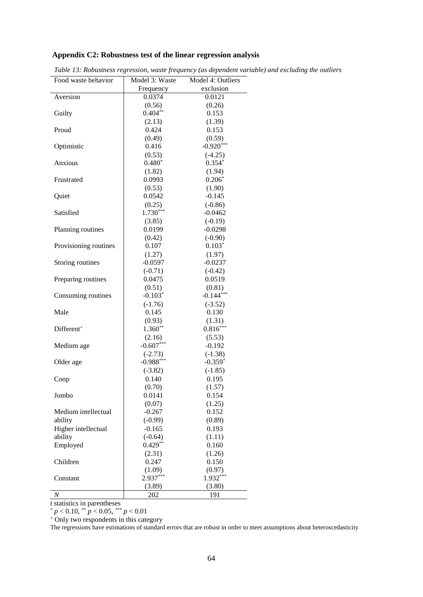#### **Appendix C2: Robustness test of the linear regression analysis**

| Food waste behavior    | Model 3: Waste | Model 4: Outliers |
|------------------------|----------------|-------------------|
|                        | Frequency      | exclusion         |
| Aversion               | 0.0374         | 0.0121            |
|                        | (0.56)         | (0.26)            |
| Guilty                 | $0.404**$      | 0.153             |
|                        | (2.13)         | (1.39)            |
| Proud                  | 0.424          | 0.153             |
|                        | (0.49)         | (0.59)            |
| Optimistic             | 0.416          | $-0.920***$       |
|                        | (0.53)         | $(-4.25)$         |
| Anxious                | $0.480*$       | $0.354*$          |
|                        | (1.82)         | (1.94)            |
| Frustrated             | 0.0993         | $0.206*$          |
|                        | (0.53)         | (1.90)            |
| Quiet                  | 0.0542         | $-0.145$          |
|                        | (0.25)         | $(-0.86)$         |
| Satisfied              | $1.730***$     | $-0.0462$         |
|                        | (3.85)         | $(-0.19)$         |
| Planning routines      | 0.0199         | $-0.0298$         |
|                        | (0.42)         | $(-0.90)$         |
| Provisioning routines  | 0.107          | $0.103*$          |
|                        | (1.27)         | (1.97)            |
| Storing routines       | $-0.0597$      | $-0.0237$         |
|                        | $(-0.71)$      | $(-0.42)$         |
| Preparing routines     | 0.0475         | 0.0519            |
|                        | (0.51)         | (0.81)            |
| Consuming routines     | $-0.103*$      | $-0.144***$       |
|                        | $(-1.76)$      | $(-3.52)$         |
| Male                   | 0.145          | 0.130             |
|                        | (0.93)         | (1.31)            |
| Different <sup>+</sup> | $1.360**$      | $0.816***$        |
|                        | (2.16)         | (5.53)            |
| Medium age             | $-0.607***$    | $-0.192$          |
|                        | $(-2.73)$      | $(-1.38)$         |
| Older age              | $-0.988***$    | $-0.359*$         |
|                        | $(-3.82)$      | $(-1.85)$         |
| Coop                   | 0.140          | 0.195             |
|                        | (0.70)         | (1.57)            |
| Jumbo                  | 0.0141         | 0.154             |
|                        | (0.07)         | (1.25)            |
| Medium intellectual    | $-0.267$       | 0.152             |
| ability                | $(-0.99)$      | (0.89)            |
| Higher intellectual    | $-0.165$       | 0.193             |
| ability                | $(-0.64)$      | (1.11)            |
| Employed               | $0.429**$      | 0.160             |
|                        | (2.31)         | (1.26)            |
| Children               | 0.247          | 0.150             |
|                        | (1.09)         | (0.97)            |
| Constant               | 2.937***       | $1.932***$        |
|                        | (3.89)         | (3.80)            |
| N                      | 202            | 191               |

<span id="page-64-0"></span>*Table 13: Robustness regression, waste frequency (as dependent variable) and excluding the outliers*

*t* statistics in parentheses

\* *p* < 0.10, \*\* *p* < 0.05, \*\*\* *p* < 0.01

<sup>+</sup> Only two respondents in this category

The regressions have estimations of standard errors that are robust in order to meet assumptions about heteroscedasticity